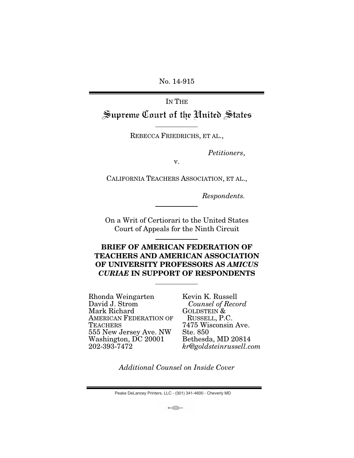No. 14-915

IN THE

Supreme Court of the United States

REBECCA FRIEDRICHS, ET AL.,

Petitioners,

v.

CALIFORNIA TEACHERS ASSOCIATION, ET AL.,

Respondents.

On a Writ of Certiorari to the United States Court of Appeals for the Ninth Circuit

## **BRIEF OF AMERICAN FEDERATION OF TEACHERS AND AMERICAN ASSOCIATION OF UNIVERSITY PROFESSORS AS** *AMICUS CURIAE* **IN SUPPORT OF RESPONDENTS**

Rhonda Weingarten David J. Strom Mark Richard AMERICAN FEDERATION OF **TEACHERS** 555 New Jersey Ave. NW Washington, DC 20001 202-393-7472

Kevin K. Russell Counsel of Record GOLDSTEIN & RUSSELL, P.C. 7475 Wisconsin Ave. Ste. 850 Bethesda, MD 20814 kr@goldsteinrussell.com

Additional Counsel on Inside Cover

Peake DeLancey Printers, LLC - (301) 341-4600 - Cheverly MD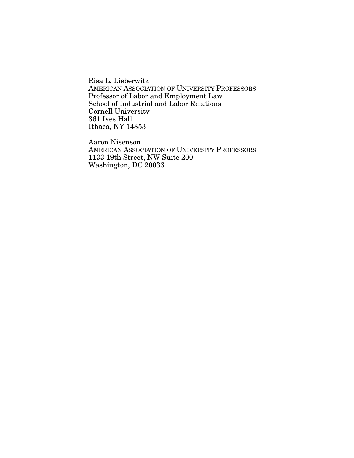Risa L. Lieberwitz AMERICAN ASSOCIATION OF UNIVERSITY PROFESSORS Professor of Labor and Employment Law School of Industrial and Labor Relations Cornell University 361 Ives Hall Ithaca, NY 14853

Aaron Nisenson AMERICAN ASSOCIATION OF UNIVERSITY PROFESSORS 1133 19th Street, NW Suite 200 Washington, DC 20036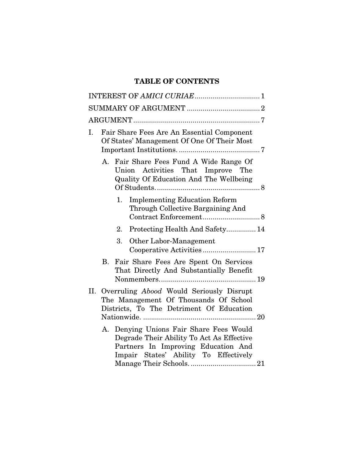# **TABLE OF CONTENTS**

| I. | Fair Share Fees Are An Essential Component<br>Of States' Management Of One Of Their Most                                                                             |  |
|----|----------------------------------------------------------------------------------------------------------------------------------------------------------------------|--|
|    | A. Fair Share Fees Fund A Wide Range Of<br>Union Activities That Improve The<br>Quality Of Education And The Wellbeing                                               |  |
|    | <b>Implementing Education Reform</b><br>1.<br>Through Collective Bargaining And                                                                                      |  |
|    | Protecting Health And Safety 14<br>2.                                                                                                                                |  |
|    | 3.<br>Other Labor-Management<br>Cooperative Activities 17                                                                                                            |  |
|    | B. Fair Share Fees Are Spent On Services<br>That Directly And Substantially Benefit                                                                                  |  |
|    | II. Overruling Abood Would Seriously Disrupt<br>The Management Of Thousands Of School<br>Districts, To The Detriment Of Education                                    |  |
|    | A. Denying Unions Fair Share Fees Would<br>Degrade Their Ability To Act As Effective<br>Partners In Improving Education And<br>Impair States' Ability To Effectively |  |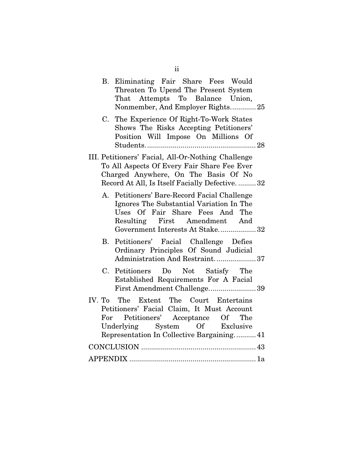|    | B. Eliminating Fair Share Fees Would<br>Threaten To Upend The Present System<br>That Attempts To Balance Union,<br>Nonmember, And Employer Rights 25                                                       |
|----|------------------------------------------------------------------------------------------------------------------------------------------------------------------------------------------------------------|
| C. | The Experience Of Right-To-Work States<br>Shows The Risks Accepting Petitioners'<br>Position Will Impose On Millions Of                                                                                    |
|    | III. Petitioners' Facial, All-Or-Nothing Challenge<br>To All Aspects Of Every Fair Share Fee Ever<br>Charged Anywhere, On The Basis Of No<br>Record At All, Is Itself Facially Defective32                 |
|    | A. Petitioners' Bare-Record Facial Challenge<br>Ignores The Substantial Variation In The<br>Uses Of Fair Share Fees And The<br>Resulting First Amendment And<br>Government Interests At Stake 32           |
| B. | Petitioners' Facial Challenge Defies<br>Ordinary Principles Of Sound Judicial<br>Administration And Restraint37                                                                                            |
| C. | Petitioners Do Not Satisfy The<br>Established Requirements For A Facial<br>First Amendment Challenge39                                                                                                     |
|    | IV. To The Extent The Court Entertains<br>Petitioners' Facial Claim, It Must Account<br>For Petitioners' Acceptance Of The<br>Underlying System Of Exclusive<br>Representation In Collective Bargaining 41 |
|    |                                                                                                                                                                                                            |
|    |                                                                                                                                                                                                            |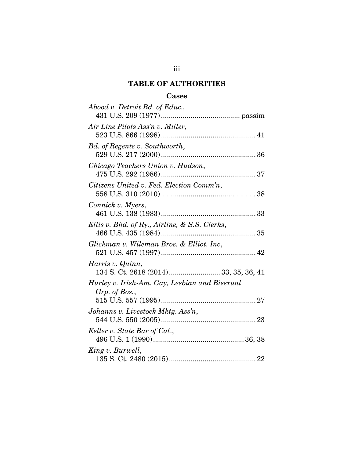## iii

# **TABLE OF AUTHORITIES**

### **Cases**

| Abood v. Detroit Bd. of Educ.,                                 |
|----------------------------------------------------------------|
|                                                                |
| Air Line Pilots Ass'n v. Miller,                               |
|                                                                |
| Bd. of Regents v. Southworth,                                  |
| Chicago Teachers Union v. Hudson,                              |
| Citizens United v. Fed. Election Comm'n,                       |
| Connick v. Myers,                                              |
| Ellis v. Bhd. of Ry., Airline, & S.S. Clerks,                  |
| Glickman v. Wileman Bros. & Elliot, Inc,                       |
| Harris v. Quinn,<br>134 S. Ct. 2618 (2014)  33, 35, 36, 41     |
| Hurley v. Irish-Am. Gay, Lesbian and Bisexual<br>Grp. of Bos., |
| Johanns v. Livestock Mktg. Ass'n,                              |
| Keller v. State Bar of Cal.,                                   |
| King v. Burwell,                                               |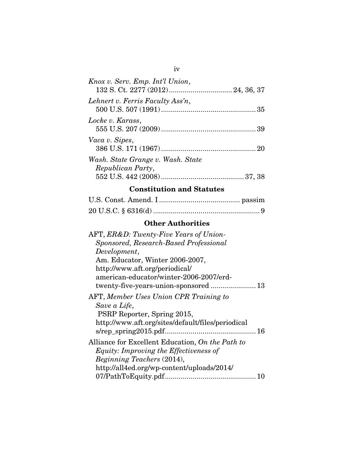| Knox v. Serv. Emp. Int'l Union,                        |  |
|--------------------------------------------------------|--|
| Lehnert v. Ferris Faculty Ass'n,                       |  |
| Locke v. Karass,                                       |  |
| Vaca v. Sipes,                                         |  |
| Wash. State Grange v. Wash. State<br>Republican Party, |  |
|                                                        |  |

# **Constitution and Statutes**

# **Other Authorities**

| AFT, ER&D: Twenty-Five Years of Union-            |
|---------------------------------------------------|
| Sponsored, Research-Based Professional            |
| Development,                                      |
| Am. Educator, Winter 2006-2007,                   |
| http://www.aft.org/periodical/                    |
| american-educator/winter-2006-2007/erd-           |
|                                                   |
| AFT, Member Uses Union CPR Training to            |
| Save a Life,                                      |
| PSRP Reporter, Spring 2015,                       |
| http://www.aft.org/sites/default/files/periodical |
|                                                   |
| Alliance for Excellent Education, On the Path to  |
| <i>Equity: Improving the Effectiveness of</i>     |
| Beginning Teachers (2014),                        |
| http://all4ed.org/wp-content/uploads/2014/        |
|                                                   |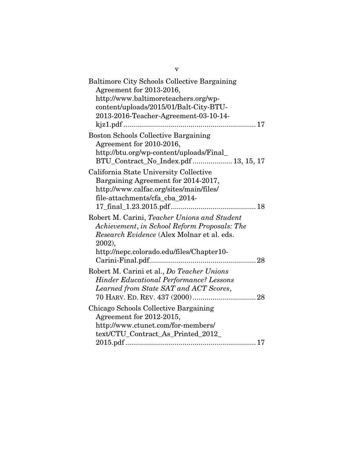| <b>Baltimore City Schools Collective Bargaining</b><br>Agreement for 2013-2016,<br>http://www.baltimoreteachers.org/wp-<br>content/uploads/2015/01/Balt-City-BTU-<br>2013-2016-Teacher-Agreement-03-10-14- |
|------------------------------------------------------------------------------------------------------------------------------------------------------------------------------------------------------------|
| <b>Boston Schools Collective Bargaining</b><br>Agreement for 2010-2016,<br>http://btu.org/wp-content/uploads/Final_<br>BTU_Contract_No_Index.pdf  13, 15, 17                                               |
| California State University Collective<br>Bargaining Agreement for 2014-2017,<br>http://www.calfac.org/sites/main/files/<br>file-attachments/cfa cba 2014-                                                 |
| Robert M. Carini, Teacher Unions and Student<br>Achievement, in School Reform Proposals: The<br>Research Evidence (Alex Molnar et al. eds.<br>$2002$ ),<br>http://nepc.colorado.edu/files/Chapter10-       |
| Robert M. Carini et al., Do Teacher Unions<br><b>Hinder Educational Performance? Lessons</b><br>Learned from State SAT and ACT Scores,                                                                     |
| Chicago Schools Collective Bargaining<br>Agreement for 2012-2015,<br>http://www.ctunet.com/for-members/<br>text/CTU_Contract_As_Printed_2012_                                                              |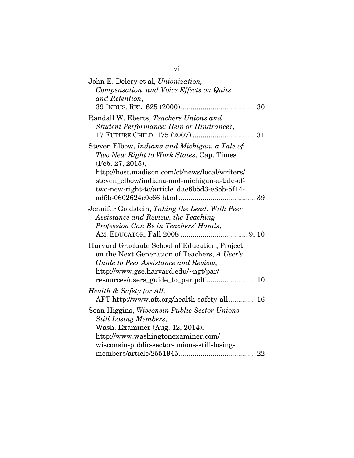| John E. Delery et al, Unionization,<br>Compensation, and Voice Effects on Quits                                                                                                                                                                                 |
|-----------------------------------------------------------------------------------------------------------------------------------------------------------------------------------------------------------------------------------------------------------------|
| and Retention,                                                                                                                                                                                                                                                  |
| Randall W. Eberts, Teachers Unions and<br>Student Performance: Help or Hindrance?,                                                                                                                                                                              |
| Steven Elbow, Indiana and Michigan, a Tale of<br>Two New Right to Work States, Cap. Times<br>(Feb. 27, 2015),<br>http://host.madison.com/ct/news/local/writers/<br>steven_elbow/indiana-and-michigan-a-tale-of-<br>two-new-right-to/article_dae6b5d3-e85b-5f14- |
| Jennifer Goldstein, Taking the Lead: With Peer<br>Assistance and Review, the Teaching<br>Profession Can Be in Teachers' Hands,                                                                                                                                  |
| Harvard Graduate School of Education, Project<br>on the Next Generation of Teachers, A User's<br>Guide to Peer Assistance and Review,<br>http://www.gse.harvard.edu/~ngt/par/<br>resources/users_guide_to_par.pdf  10                                           |
| Health & Safety for All,<br>AFT http://www.aft.org/health-safety-all 16                                                                                                                                                                                         |
| Sean Higgins, Wisconsin Public Sector Unions<br><b>Still Losing Members,</b><br>Wash. Examiner (Aug. 12, 2014),<br>http://www.washingtonexaminer.com/<br>wisconsin-public-sector-unions-still-losing-                                                           |
|                                                                                                                                                                                                                                                                 |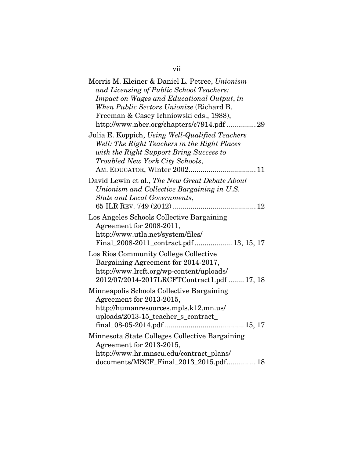| Morris M. Kleiner & Daniel L. Petree, Unionism<br>and Licensing of Public School Teachers:<br>Impact on Wages and Educational Output, in<br>When Public Sectors Unionize (Richard B.<br>Freeman & Casey Ichniowski eds., 1988),<br>http://www.nber.org/chapters/c7914.pdf 29 |
|------------------------------------------------------------------------------------------------------------------------------------------------------------------------------------------------------------------------------------------------------------------------------|
| Julia E. Koppich, Using Well-Qualified Teachers<br>Well: The Right Teachers in the Right Places<br>with the Right Support Bring Success to<br>Troubled New York City Schools,                                                                                                |
| David Lewin et al., The New Great Debate About<br>Unionism and Collective Bargaining in U.S.<br>State and Local Governments,                                                                                                                                                 |
| Los Angeles Schools Collective Bargaining<br>Agreement for 2008-2011,<br>http://www.utla.net/system/files/<br>Final_2008-2011_contract.pdf  13, 15, 17                                                                                                                       |
| Los Rios Community College Collective<br>Bargaining Agreement for 2014-2017,<br>http://www.lrcft.org/wp-content/uploads/<br>2012/07/2014-2017LRCFTContract1.pdf  17, 18                                                                                                      |
| Minneapolis Schools Collective Bargaining<br>Agreement for 2013-2015,<br>http://humanresources.mpls.k12.mn.us/<br>uploads/2013-15_teacher_s_contract_                                                                                                                        |
| Minnesota State Colleges Collective Bargaining<br>Agreement for 2013-2015,<br>http://www.hr.mnscu.edu/contract_plans/<br>documents/MSCF_Final_2013_2015.pdf 18                                                                                                               |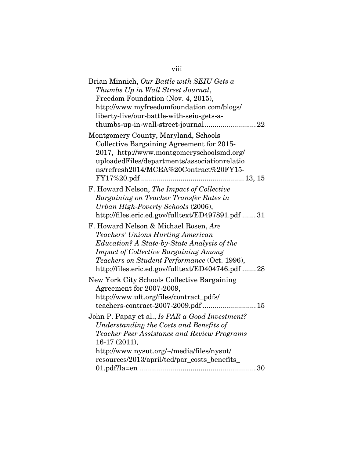| Brian Minnich, Our Battle with SEIU Gets a<br>Thumbs Up in Wall Street Journal,                                                                                                                                                                                                       |
|---------------------------------------------------------------------------------------------------------------------------------------------------------------------------------------------------------------------------------------------------------------------------------------|
| Freedom Foundation (Nov. 4, 2015),<br>http://www.myfreedomfoundation.com/blogs/<br>liberty-live/our-battle-with-seiu-gets-a-                                                                                                                                                          |
| Montgomery County, Maryland, Schools<br>Collective Bargaining Agreement for 2015-<br>2017, http://www.montgomeryschoolsmd.org/<br>uploadedFiles/departments/associationrelatio<br>ns/refresh2014/MCEA%20Contract%20FY15-                                                              |
| F. Howard Nelson, The Impact of Collective<br>Bargaining on Teacher Transfer Rates in<br>Urban High-Poverty Schools (2006),<br>http://files.eric.ed.gov/fulltext/ED497891.pdf 31                                                                                                      |
| F. Howard Nelson & Michael Rosen, Are<br><b>Teachers' Unions Hurting American</b><br>Education? A State-by-State Analysis of the<br><b>Impact of Collective Bargaining Among</b><br>Teachers on Student Performance (Oct. 1996),<br>http://files.eric.ed.gov/fulltext/ED404746.pdf 28 |
| New York City Schools Collective Bargaining<br>Agreement for 2007-2009,<br>http://www.uft.org/files/contract_pdfs/<br>teachers-contract-2007-2009.pdf 15                                                                                                                              |
| John P. Papay et al., Is PAR a Good Investment?<br>Understanding the Costs and Benefits of<br>Teacher Peer Assistance and Review Programs<br>16-17 (2011),<br>http://www.nysut.org/~/media/files/nysut/<br>resources/2013/april/ted/par_costs_benefits_                               |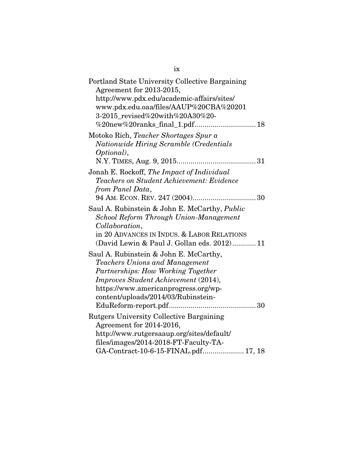| Portland State University Collective Bargaining<br>Agreement for 2013-2015,<br>http://www.pdx.edu/academic-affairs/sites/<br>www.pdx.edu.oaa/files/AAUP%20CBA%20201<br>3-2015 revised%20with%20A30%20-                                |
|---------------------------------------------------------------------------------------------------------------------------------------------------------------------------------------------------------------------------------------|
| Motoko Rich, Teacher Shortages Spur a<br>Nationwide Hiring Scramble (Credentials<br>Optional),<br>N.Y. TIMES, Aug. 9, 2015                                                                                                            |
| Jonah E. Rockoff, The Impact of Individual<br><b>Teachers on Student Achievement: Evidence</b><br>from Panel Data,                                                                                                                    |
| Saul A. Rubinstein & John E. McCarthy, Public<br>School Reform Through Union-Management<br>Collaboration,<br>in 20 ADVANCES IN INDUS. & LABOR RELATIONS<br>(David Lewin & Paul J. Gollan eds. 2012) 11                                |
| Saul A. Rubinstein & John E. McCarthy,<br>Teachers Unions and Management<br>Partnerships: How Working Together<br>Improves Student Achievement (2014),<br>https://www.americanprogress.org/wp-<br>content/uploads/2014/03/Rubinstein- |
| <b>Rutgers University Collective Bargaining</b><br>Agreement for 2014-2016,<br>http://www.rutgersaaup.org/sites/default/<br>files/images/2014-2018-FT-Faculty-TA-<br>GA-Contract-10-6-15-FINAL.pdf 17, 18                             |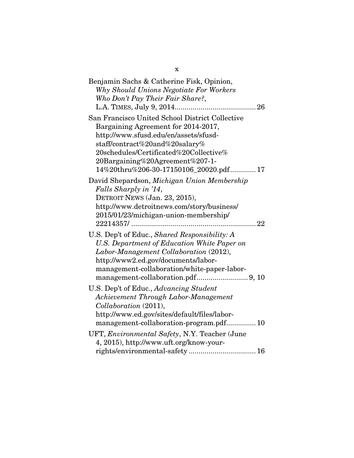| Benjamin Sachs & Catherine Fisk, Opinion,<br>Why Should Unions Negotiate For Workers<br>Who Don't Pay Their Fair Share?,                                                                                                                                                                 |
|------------------------------------------------------------------------------------------------------------------------------------------------------------------------------------------------------------------------------------------------------------------------------------------|
| San Francisco United School District Collective<br>Bargaining Agreement for 2014-2017,<br>http://www.sfusd.edu/en/assets/sfusd-<br>staff/contract%20and%20salary%<br>20schedules/Certificated%20Collective%<br>20Bargaining%20Agreement%207-1-<br>14%20thru%206-30-17150106_20020.pdf 17 |
| David Shepardson, Michigan Union Membership<br>Falls Sharply in '14,<br>DETROIT NEWS (Jan. 23, 2015),<br>http://www.detroitnews.com/story/business/<br>2015/01/23/michigan-union-membership/                                                                                             |
| U.S. Dep't of Educ., Shared Responsibility: A<br>U.S. Department of Education White Paper on<br>Labor-Management Collaboration (2012),<br>http://www2.ed.gov/documents/labor-<br>management-collaboration/white-paper-labor-                                                             |
| U.S. Dep't of Educ., Advancing Student<br>Achievement Through Labor-Management<br>Collaboration (2011),<br>http://www.ed.gov/sites/default/files/labor-<br>management-collaboration-program.pdf 10                                                                                       |
| UFT, Environmental Safety, N.Y. Teacher (June<br>4, 2015), http://www.uft.org/know-your-                                                                                                                                                                                                 |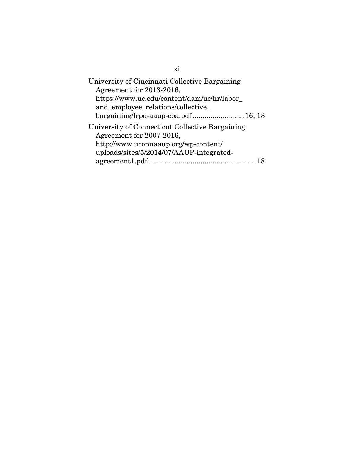| University of Cincinnati Collective Bargaining<br>Agreement for 2013-2016,<br>https://www.uc.edu/content/dam/uc/hr/labor_<br>and_employee_relations/collective_<br>bargaining/lrpd-aaup-cba.pdf 16, 18 |
|--------------------------------------------------------------------------------------------------------------------------------------------------------------------------------------------------------|
| University of Connecticut Collective Bargaining<br>Agreement for 2007-2016,<br>http://www.uconnaaup.org/wp-content/<br>uploads/sites/5/2014/07/AAUP-integrated-                                        |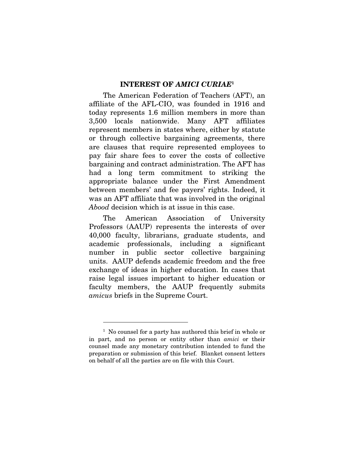#### **INTEREST OF** *AMICI CURIAE***<sup>1</sup>**

The American Federation of Teachers (AFT), an affiliate of the AFL-CIO, was founded in 1916 and today represents 1.6 million members in more than 3,500 locals nationwide. Many AFT affiliates represent members in states where, either by statute or through collective bargaining agreements, there are clauses that require represented employees to pay fair share fees to cover the costs of collective bargaining and contract administration. The AFT has had a long term commitment to striking the appropriate balance under the First Amendment between members' and fee payers' rights. Indeed, it was an AFT affiliate that was involved in the original Abood decision which is at issue in this case.

The American Association of University Professors (AAUP) represents the interests of over 40,000 faculty, librarians, graduate students, and academic professionals, including a significant number in public sector collective bargaining units. AAUP defends academic freedom and the free exchange of ideas in higher education. In cases that raise legal issues important to higher education or faculty members, the AAUP frequently submits amicus briefs in the Supreme Court.

<sup>&</sup>lt;sup>1</sup> No counsel for a party has authored this brief in whole or in part, and no person or entity other than amici or their counsel made any monetary contribution intended to fund the preparation or submission of this brief. Blanket consent letters on behalf of all the parties are on file with this Court.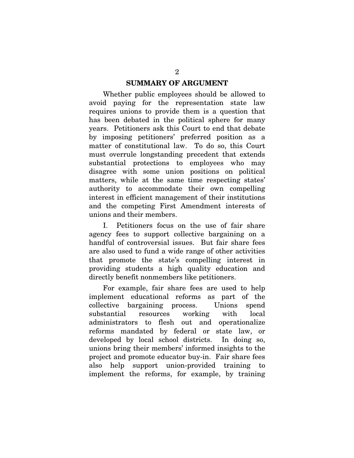Whether public employees should be allowed to avoid paying for the representation state law requires unions to provide them is a question that has been debated in the political sphere for many years. Petitioners ask this Court to end that debate by imposing petitioners' preferred position as a matter of constitutional law. To do so, this Court must overrule longstanding precedent that extends substantial protections to employees who may disagree with some union positions on political matters, while at the same time respecting states' authority to accommodate their own compelling interest in efficient management of their institutions and the competing First Amendment interests of unions and their members.

I. Petitioners focus on the use of fair share agency fees to support collective bargaining on a handful of controversial issues. But fair share fees are also used to fund a wide range of other activities that promote the state's compelling interest in providing students a high quality education and directly benefit nonmembers like petitioners.

For example, fair share fees are used to help implement educational reforms as part of the collective bargaining process. Unions spend substantial resources working with local administrators to flesh out and operationalize reforms mandated by federal or state law, or developed by local school districts. In doing so, unions bring their members' informed insights to the project and promote educator buy-in. Fair share fees also help support union-provided training to implement the reforms, for example, by training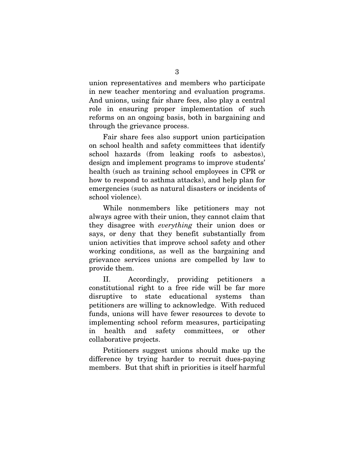union representatives and members who participate in new teacher mentoring and evaluation programs. And unions, using fair share fees, also play a central role in ensuring proper implementation of such reforms on an ongoing basis, both in bargaining and through the grievance process.

Fair share fees also support union participation on school health and safety committees that identify school hazards (from leaking roofs to asbestos), design and implement programs to improve students' health (such as training school employees in CPR or how to respond to asthma attacks), and help plan for emergencies (such as natural disasters or incidents of school violence).

While nonmembers like petitioners may not always agree with their union, they cannot claim that they disagree with everything their union does or says, or deny that they benefit substantially from union activities that improve school safety and other working conditions, as well as the bargaining and grievance services unions are compelled by law to provide them.

II. Accordingly, providing petitioners a constitutional right to a free ride will be far more disruptive to state educational systems than petitioners are willing to acknowledge. With reduced funds, unions will have fewer resources to devote to implementing school reform measures, participating in health and safety committees, or other collaborative projects.

Petitioners suggest unions should make up the difference by trying harder to recruit dues-paying members. But that shift in priorities is itself harmful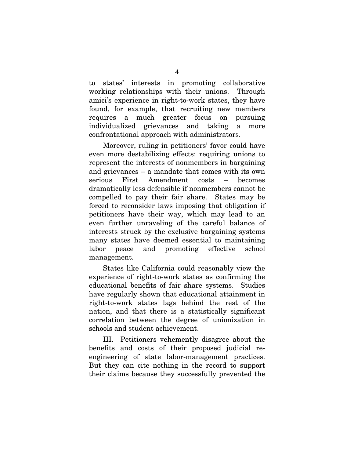to states' interests in promoting collaborative working relationships with their unions. Through amici's experience in right-to-work states, they have found, for example, that recruiting new members requires a much greater focus on pursuing individualized grievances and taking a more confrontational approach with administrators.

Moreover, ruling in petitioners' favor could have even more destabilizing effects: requiring unions to represent the interests of nonmembers in bargaining and grievances – a mandate that comes with its own serious First Amendment costs – becomes dramatically less defensible if nonmembers cannot be compelled to pay their fair share. States may be forced to reconsider laws imposing that obligation if petitioners have their way, which may lead to an even further unraveling of the careful balance of interests struck by the exclusive bargaining systems many states have deemed essential to maintaining labor peace and promoting effective school management.

States like California could reasonably view the experience of right-to-work states as confirming the educational benefits of fair share systems. Studies have regularly shown that educational attainment in right-to-work states lags behind the rest of the nation, and that there is a statistically significant correlation between the degree of unionization in schools and student achievement.

III. Petitioners vehemently disagree about the benefits and costs of their proposed judicial reengineering of state labor-management practices. But they can cite nothing in the record to support their claims because they successfully prevented the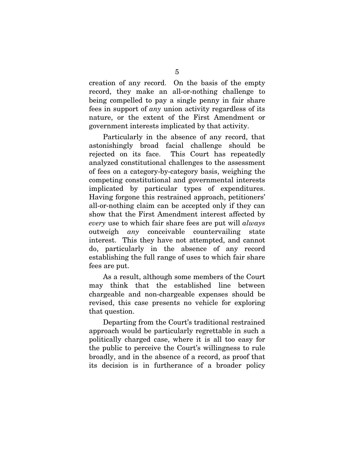creation of any record. On the basis of the empty record, they make an all-or-nothing challenge to being compelled to pay a single penny in fair share fees in support of any union activity regardless of its nature, or the extent of the First Amendment or government interests implicated by that activity.

Particularly in the absence of any record, that astonishingly broad facial challenge should be rejected on its face. This Court has repeatedly analyzed constitutional challenges to the assessment of fees on a category-by-category basis, weighing the competing constitutional and governmental interests implicated by particular types of expenditures. Having forgone this restrained approach, petitioners' all-or-nothing claim can be accepted only if they can show that the First Amendment interest affected by every use to which fair share fees are put will *always* outweigh any conceivable countervailing state interest. This they have not attempted, and cannot do, particularly in the absence of any record establishing the full range of uses to which fair share fees are put.

As a result, although some members of the Court may think that the established line between chargeable and non-chargeable expenses should be revised, this case presents no vehicle for exploring that question.

Departing from the Court's traditional restrained approach would be particularly regrettable in such a politically charged case, where it is all too easy for the public to perceive the Court's willingness to rule broadly, and in the absence of a record, as proof that its decision is in furtherance of a broader policy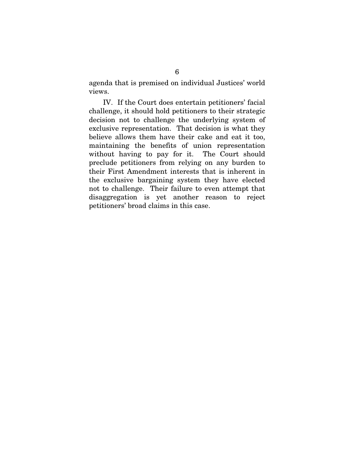agenda that is premised on individual Justices' world views.

IV. If the Court does entertain petitioners' facial challenge, it should hold petitioners to their strategic decision not to challenge the underlying system of exclusive representation. That decision is what they believe allows them have their cake and eat it too, maintaining the benefits of union representation without having to pay for it. The Court should preclude petitioners from relying on any burden to their First Amendment interests that is inherent in the exclusive bargaining system they have elected not to challenge. Their failure to even attempt that disaggregation is yet another reason to reject petitioners' broad claims in this case.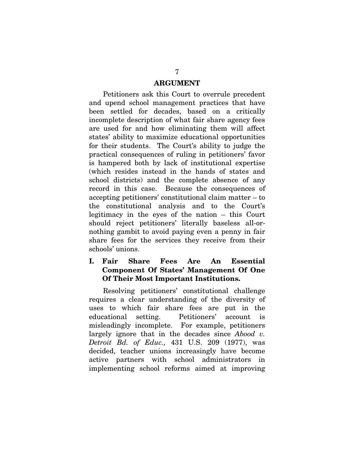#### **ARGUMENT**

Petitioners ask this Court to overrule precedent and upend school management practices that have been settled for decades, based on a critically incomplete description of what fair share agency fees are used for and how eliminating them will affect states' ability to maximize educational opportunities for their students. The Court's ability to judge the practical consequences of ruling in petitioners' favor is hampered both by lack of institutional expertise (which resides instead in the hands of states and school districts) and the complete absence of any record in this case. Because the consequences of accepting petitioners' constitutional claim matter – to the constitutional analysis and to the Court's legitimacy in the eyes of the nation – this Court should reject petitioners' literally baseless all-ornothing gambit to avoid paying even a penny in fair share fees for the services they receive from their schools' unions.

#### **I. Fair Share Fees Are An Essential Component Of States' Management Of One Of Their Most Important Institutions.**

Resolving petitioners' constitutional challenge requires a clear understanding of the diversity of uses to which fair share fees are put in the educational setting. Petitioners' account is misleadingly incomplete. For example, petitioners largely ignore that in the decades since *Abood v*. Detroit Bd. of Educ., 431 U.S. 209 (1977), was decided, teacher unions increasingly have become active partners with school administrators in implementing school reforms aimed at improving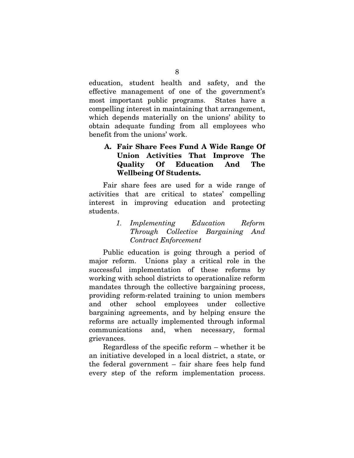education, student health and safety, and the effective management of one of the government's most important public programs. States have a compelling interest in maintaining that arrangement, which depends materially on the unions' ability to obtain adequate funding from all employees who benefit from the unions' work.

## **A. Fair Share Fees Fund A Wide Range Of Union Activities That Improve The Quality Of Education And The Wellbeing Of Students.**

Fair share fees are used for a wide range of activities that are critical to states' compelling interest in improving education and protecting students.

> 1. Implementing Education Reform Through Collective Bargaining And Contract Enforcement

Public education is going through a period of major reform. Unions play a critical role in the successful implementation of these reforms by working with school districts to operationalize reform mandates through the collective bargaining process, providing reform-related training to union members and other school employees under collective bargaining agreements, and by helping ensure the reforms are actually implemented through informal communications and, when necessary, formal grievances.

Regardless of the specific reform – whether it be an initiative developed in a local district, a state, or the federal government – fair share fees help fund every step of the reform implementation process.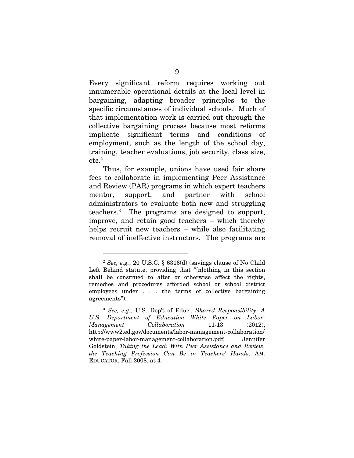Every significant reform requires working out innumerable operational details at the local level in bargaining, adapting broader principles to the specific circumstances of individual schools. Much of that implementation work is carried out through the collective bargaining process because most reforms implicate significant terms and conditions of employment, such as the length of the school day, training, teacher evaluations, job security, class size,  $\rm etc.^2$ 

Thus, for example, unions have used fair share fees to collaborate in implementing Peer Assistance and Review (PAR) programs in which expert teachers mentor, support, and partner with school administrators to evaluate both new and struggling teachers.3 The programs are designed to support, improve, and retain good teachers – which thereby helps recruit new teachers – while also facilitating removal of ineffective instructors. The programs are

<sup>&</sup>lt;sup>2</sup> See, e.g., 20 U.S.C. § 6316(d) (savings clause of No Child Left Behind statute, providing that "[n]othing in this section shall be construed to alter or otherwise affect the rights, remedies and procedures afforded school or school district employees under . . . the terms of collective bargaining agreements").

<sup>3</sup> See, e.g., U.S. Dep't of Educ., Shared Responsibility: A U.S. Department of Education White Paper on Labor-Management Collaboration 11-13 (2012), http://www2.ed.gov/documents/labor-management-collaboration/ white-paper-labor-management-collaboration.pdf; Jennifer Goldstein, Taking the Lead: With Peer Assistance and Review, the Teaching Profession Can Be in Teachers' Hands, AM. EDUCATOR, Fall 2008, at 4.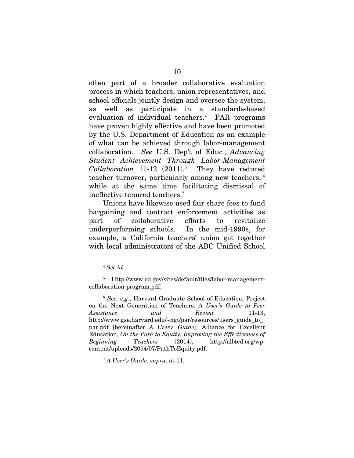often part of a broader collaborative evaluation process in which teachers, union representatives, and school officials jointly design and oversee the system, as well as participate in a standards-based evaluation of individual teachers.4 PAR programs have proven highly effective and have been promoted by the U.S. Department of Education as an example of what can be achieved through labor-management collaboration. See U.S. Dep't of Educ., Advancing Student Achievement Through Labor-Management  $Collaboration$  11-12  $(2011).5$  They have reduced teacher turnover, particularly among new teachers, 6 while at the same time facilitating dismissal of ineffective tenured teachers.7

Unions have likewise used fair share fees to fund bargaining and contract enforcement activities as part of collaborative efforts to revitalize underperforming schools. In the mid-1990s, for example, a California teachers' union got together with local administrators of the ABC Unified School

 $\overline{a}$ 

<sup>6</sup> See, e.g., Harvard Graduate School of Education, Project on the Next Generation of Teachers, A User's Guide to Peer Assistance and Review 11-13. http://www.gse.harvard.edu/~ngt/par/resources/users\_guide\_to\_ par.pdf [hereinafter A User's Guide]; Alliance for Excellent Education, On the Path to Equity: Improving the Effectiveness of Beginning Teachers (2014), http://all4ed.org/wpcontent/uploads/2014/07/PathToEquity.pdf.

<sup>7</sup> A User's Guide, supra, at 11.

<sup>4</sup> See id.

<sup>5</sup> Http://www.ed.gov/sites/default/files/labor-managementcollaboration-program.pdf.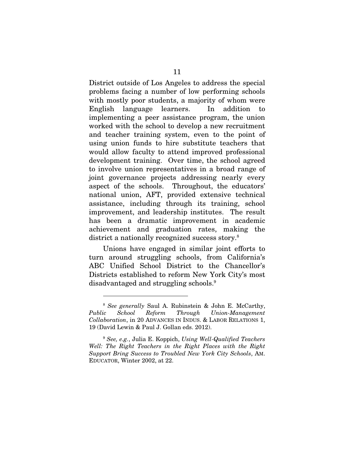District outside of Los Angeles to address the special problems facing a number of low performing schools with mostly poor students, a majority of whom were English language learners. In addition to implementing a peer assistance program, the union worked with the school to develop a new recruitment and teacher training system, even to the point of using union funds to hire substitute teachers that would allow faculty to attend improved professional development training. Over time, the school agreed to involve union representatives in a broad range of joint governance projects addressing nearly every aspect of the schools. Throughout, the educators' national union, AFT, provided extensive technical assistance, including through its training, school improvement, and leadership institutes. The result has been a dramatic improvement in academic achievement and graduation rates, making the district a nationally recognized success story.<sup>8</sup>

Unions have engaged in similar joint efforts to turn around struggling schools, from California's ABC Unified School District to the Chancellor's Districts established to reform New York City's most disadvantaged and struggling schools.9

<sup>8</sup> See generally Saul A. Rubinstein & John E. McCarthy, Public School Reform Through Union-Management Collaboration, in 20 ADVANCES IN INDUS. & LABOR RELATIONS 1, 19 (David Lewin & Paul J. Gollan eds. 2012).

 $9$  See, e.g., Julia E. Koppich, Using Well-Qualified Teachers Well: The Right Teachers in the Right Places with the Right Support Bring Success to Troubled New York City Schools, AM. EDUCATOR, Winter 2002, at 22.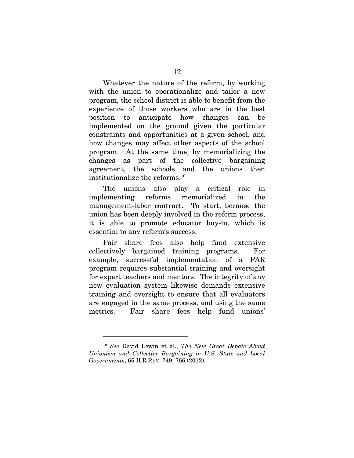Whatever the nature of the reform, by working with the union to operationalize and tailor a new program, the school district is able to benefit from the experience of those workers who are in the best position to anticipate how changes can be implemented on the ground given the particular constraints and opportunities at a given school, and how changes may affect other aspects of the school program. At the same time, by memorializing the changes as part of the collective bargaining agreement, the schools and the unions then institutionalize the reforms.10

The unions also play a critical role in implementing reforms memorialized in the management-labor contract. To start, because the union has been deeply involved in the reform process, it is able to promote educator buy-in, which is essential to any reform's success.

Fair share fees also help fund extensive collectively bargained training programs. For example, successful implementation of a PAR program requires substantial training and oversight for expert teachers and mentors. The integrity of any new evaluation system likewise demands extensive training and oversight to ensure that all evaluators are engaged in the same process, and using the same metrics. Fair share fees help fund unions'

<sup>&</sup>lt;sup>10</sup> See David Lewin et al., The New Great Debate About Unionism and Collective Bargaining in U.S. State and Local Governments, 65 ILR REV. 749, 766 (2012).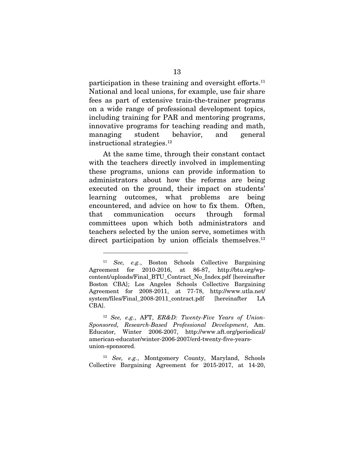participation in these training and oversight efforts.<sup>11</sup> National and local unions, for example, use fair share fees as part of extensive train-the-trainer programs on a wide range of professional development topics, including training for PAR and mentoring programs, innovative programs for teaching reading and math, managing student behavior, and general instructional strategies.12

At the same time, through their constant contact with the teachers directly involved in implementing these programs, unions can provide information to administrators about how the reforms are being executed on the ground, their impact on students' learning outcomes, what problems are being encountered, and advice on how to fix them. Often, that communication occurs through formal committees upon which both administrators and teachers selected by the union serve, sometimes with direct participation by union officials themselves.<sup>13</sup>

 $\overline{a}$ 

<sup>12</sup> See, e.g., AFT, ER&D: Twenty-Five Years of Union-Sponsored, Research-Based Professional Development, Am. Educator, Winter 2006-2007, http://www.aft.org/periodical/ american-educator/winter-2006-2007/erd-twenty-five-yearsunion-sponsored.

<sup>13</sup> See, e.g., Montgomery County, Maryland, Schools Collective Bargaining Agreement for 2015-2017, at 14-20,

<sup>&</sup>lt;sup>11</sup> See, e.g., Boston Schools Collective Bargaining Agreement for 2010-2016, at 86-87, http://btu.org/wpcontent/uploads/Final\_BTU\_Contract\_No\_Index.pdf [hereinafter Boston CBA]; Los Angeles Schools Collective Bargaining Agreement for 2008-2011, at 77-78, http://www.utla.net/ system/files/Final 2008-2011 contract.pdf [hereinafter LA CBA].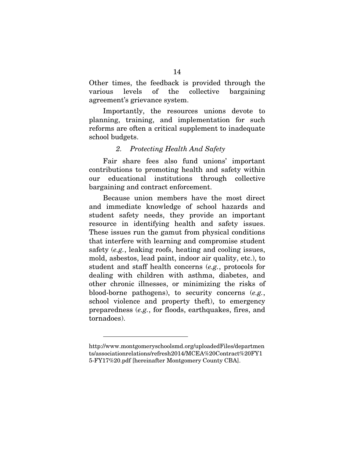Other times, the feedback is provided through the various levels of the collective bargaining agreement's grievance system.

Importantly, the resources unions devote to planning, training, and implementation for such reforms are often a critical supplement to inadequate school budgets.

## 2. Protecting Health And Safety

Fair share fees also fund unions' important contributions to promoting health and safety within our educational institutions through collective bargaining and contract enforcement.

Because union members have the most direct and immediate knowledge of school hazards and student safety needs, they provide an important resource in identifying health and safety issues. These issues run the gamut from physical conditions that interfere with learning and compromise student safety (e.g., leaking roofs, heating and cooling issues, mold, asbestos, lead paint, indoor air quality, etc.), to student and staff health concerns (e.g., protocols for dealing with children with asthma, diabetes, and other chronic illnesses, or minimizing the risks of blood-borne pathogens), to security concerns (e.g., school violence and property theft), to emergency preparedness (e.g., for floods, earthquakes, fires, and tornadoes).

http://www.montgomeryschoolsmd.org/uploadedFiles/departmen ts/associationrelations/refresh2014/MCEA%20Contract%20FY1 5-FY17%20.pdf [hereinafter Montgomery County CBA].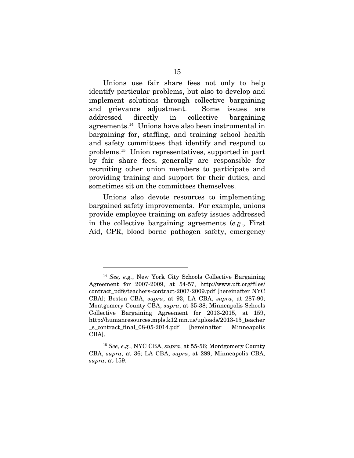Unions use fair share fees not only to help identify particular problems, but also to develop and implement solutions through collective bargaining and grievance adjustment. Some issues are addressed directly in collective bargaining agreements.14 Unions have also been instrumental in bargaining for, staffing, and training school health and safety committees that identify and respond to problems.15 Union representatives, supported in part by fair share fees, generally are responsible for recruiting other union members to participate and providing training and support for their duties, and sometimes sit on the committees themselves.

Unions also devote resources to implementing bargained safety improvements. For example, unions provide employee training on safety issues addressed in the collective bargaining agreements (e.g., First Aid, CPR, blood borne pathogen safety, emergency

<sup>&</sup>lt;sup>14</sup> See, e.g., New York City Schools Collective Bargaining Agreement for 2007-2009, at 54-57, http://www.uft.org/files/ contract\_pdfs/teachers-contract-2007-2009.pdf [hereinafter NYC CBA]; Boston CBA, supra, at 93; LA CBA, supra, at 287-90; Montgomery County CBA, supra, at 35-38; Minneapolis Schools Collective Bargaining Agreement for 2013-2015, at 159, http://humanresources.mpls.k12.mn.us/uploads/2013-15\_teacher s contract final 08-05-2014.pdf [hereinafter Minneapolis CBA].

<sup>15</sup> See, e.g., NYC CBA, supra, at 55-56; Montgomery County CBA, supra, at 36; LA CBA, supra, at 289; Minneapolis CBA, supra, at 159.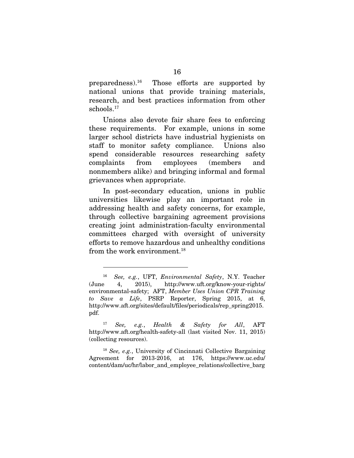preparedness).16 Those efforts are supported by national unions that provide training materials, research, and best practices information from other schools.17

Unions also devote fair share fees to enforcing these requirements. For example, unions in some larger school districts have industrial hygienists on staff to monitor safety compliance. Unions also spend considerable resources researching safety complaints from employees (members and nonmembers alike) and bringing informal and formal grievances when appropriate.

In post-secondary education, unions in public universities likewise play an important role in addressing health and safety concerns, for example, through collective bargaining agreement provisions creating joint administration-faculty environmental committees charged with oversight of university efforts to remove hazardous and unhealthy conditions from the work environment.<sup>18</sup>

 $\overline{a}$ 

<sup>17</sup> See, e.g., Health & Safety for All, AFT http://www.aft.org/health-safety-all (last visited Nov. 11, 2015) (collecting resources).

<sup>18</sup> See, e.g., University of Cincinnati Collective Bargaining Agreement for 2013-2016, at 176, https://www.uc.edu/ content/dam/uc/hr/labor\_and\_employee\_relations/collective\_barg

<sup>16</sup> See, e.g., UFT, Environmental Safety, N.Y. Teacher (June 4, 2015), http://www.uft.org/know-your-rights/ environmental-safety; AFT, Member Uses Union CPR Training to Save a Life, PSRP Reporter, Spring 2015, at 6, http://www.aft.org/sites/default/files/periodicals/rep\_spring2015. pdf.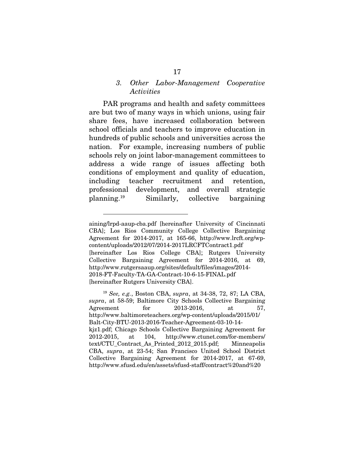#### 3. Other Labor-Management Cooperative **Activities**

PAR programs and health and safety committees are but two of many ways in which unions, using fair share fees, have increased collaboration between school officials and teachers to improve education in hundreds of public schools and universities across the nation. For example, increasing numbers of public schools rely on joint labor-management committees to address a wide range of issues affecting both conditions of employment and quality of education, including teacher recruitment and retention, professional development, and overall strategic planning.19 Similarly, collective bargaining

aining/lrpd-aaup-cba.pdf [hereinafter University of Cincinnati CBA]; Los Rios Community College Collective Bargaining Agreement for 2014-2017, at 165-66, http://www.lrcft.org/wpcontent/uploads/2012/07/2014-2017LRCFTContract1.pdf [hereinafter Los Rios College CBA]; Rutgers University Collective Bargaining Agreement for 2014-2016, at 69, http://www.rutgersaaup.org/sites/default/files/images/2014- 2018-FT-Faculty-TA-GA-Contract-10-6-15-FINAL.pdf [hereinafter Rutgers University CBA].

<sup>19</sup> See, e.g., Boston CBA, supra, at 34-38, 72, 87; LA CBA, supra, at 58-59; Baltimore City Schools Collective Bargaining Agreement for 2013-2016, at 57, http://www.baltimoreteachers.org/wp-content/uploads/2015/01/ Balt-City-BTU-2013-2016-Teacher-Agreement-03-10-14 kjz1.pdf; Chicago Schools Collective Bargaining Agreement for 2012-2015, at 104, http://www.ctunet.com/for-members/ text/CTU\_Contract\_As\_Printed\_2012\_2015.pdf; Minneapolis CBA, supra, at 23-54; San Francisco United School District Collective Bargaining Agreement for 2014-2017, at 67-69, http://www.sfusd.edu/en/assets/sfusd-staff/contract%20and%20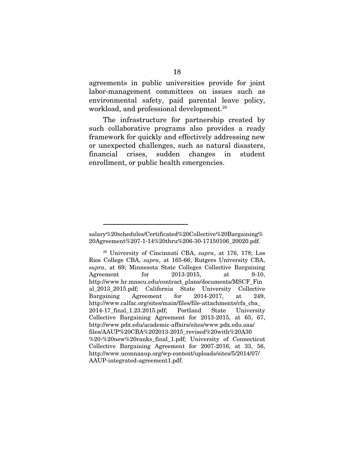agreements in public universities provide for joint labor-management committees on issues such as environmental safety, paid parental leave policy, workload, and professional development.<sup>20</sup>

The infrastructure for partnership created by such collaborative programs also provides a ready framework for quickly and effectively addressing new or unexpected challenges, such as natural disasters, financial crises, sudden changes in student enrollment, or public health emergencies.

salary%20schedules/Certificated%20Collective%20Bargaining% 20Agreement%207-1-14%20thru%206-30-17150106\_20020.pdf.

<sup>20</sup> University of Cincinnati CBA, supra, at 176, 178; Los Rios College CBA, supra, at 165-66; Rutgers University CBA, supra, at 69; Minnesota State Colleges Collective Bargaining Agreement for 2013-2015, at 9-10, http://www.hr.mnscu.edu/contract\_plans/documents/MSCF\_Fin al\_2013\_2015.pdf; California State University Collective Bargaining Agreement for 2014-2017, at 249, http://www.calfac.org/sites/main/files/file-attachments/cfa\_cba\_ 2014-17\_final\_1.23.2015.pdf; Portland State University Collective Bargaining Agreement for 2013-2015, at 65, 67, http://www.pdx.edu/academic-affairs/sites/www.pdx.edu.oaa/ files/AAUP%20CBA%202013-2015\_revised%20with%20A30 %20-%20new%20ranks\_final\_1.pdf; University of Connecticut Collective Bargaining Agreement for 2007-2016, at 33, 56, http://www.uconnaaup.org/wp-content/uploads/sites/5/2014/07/ AAUP-integrated-agreement1.pdf.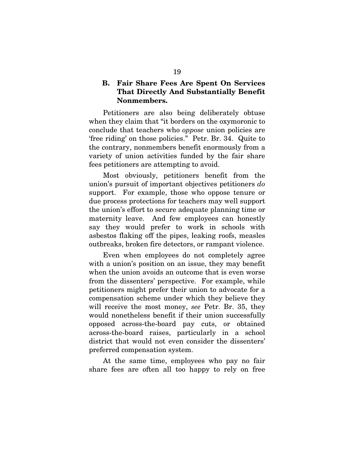## **B. Fair Share Fees Are Spent On Services That Directly And Substantially Benefit Nonmembers.**

Petitioners are also being deliberately obtuse when they claim that "it borders on the oxymoronic to conclude that teachers who oppose union policies are 'free riding' on those policies." Petr. Br. 34. Quite to the contrary, nonmembers benefit enormously from a variety of union activities funded by the fair share fees petitioners are attempting to avoid.

Most obviously, petitioners benefit from the union's pursuit of important objectives petitioners do support. For example, those who oppose tenure or due process protections for teachers may well support the union's effort to secure adequate planning time or maternity leave. And few employees can honestly say they would prefer to work in schools with asbestos flaking off the pipes, leaking roofs, measles outbreaks, broken fire detectors, or rampant violence.

Even when employees do not completely agree with a union's position on an issue, they may benefit when the union avoids an outcome that is even worse from the dissenters' perspective. For example, while petitioners might prefer their union to advocate for a compensation scheme under which they believe they will receive the most money, see Petr. Br. 35, they would nonetheless benefit if their union successfully opposed across-the-board pay cuts, or obtained across-the-board raises, particularly in a school district that would not even consider the dissenters' preferred compensation system.

At the same time, employees who pay no fair share fees are often all too happy to rely on free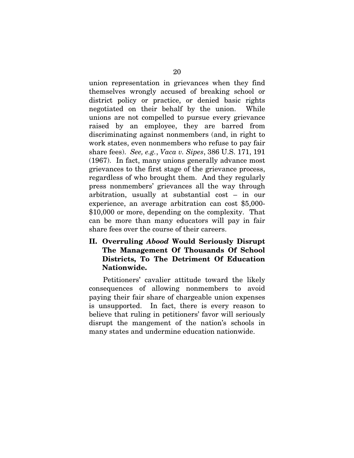union representation in grievances when they find themselves wrongly accused of breaking school or district policy or practice, or denied basic rights negotiated on their behalf by the union. While unions are not compelled to pursue every grievance raised by an employee, they are barred from discriminating against nonmembers (and, in right to work states, even nonmembers who refuse to pay fair share fees). See, e.g., Vaca v. Sipes, 386 U.S. 171, 191 (1967). In fact, many unions generally advance most grievances to the first stage of the grievance process, regardless of who brought them. And they regularly press nonmembers' grievances all the way through arbitration, usually at substantial cost – in our experience, an average arbitration can cost \$5,000- \$10,000 or more, depending on the complexity. That can be more than many educators will pay in fair share fees over the course of their careers.

## **II. Overruling** *Abood* **Would Seriously Disrupt The Management Of Thousands Of School Districts, To The Detriment Of Education Nationwide.**

Petitioners' cavalier attitude toward the likely consequences of allowing nonmembers to avoid paying their fair share of chargeable union expenses is unsupported. In fact, there is every reason to believe that ruling in petitioners' favor will seriously disrupt the mangement of the nation's schools in many states and undermine education nationwide.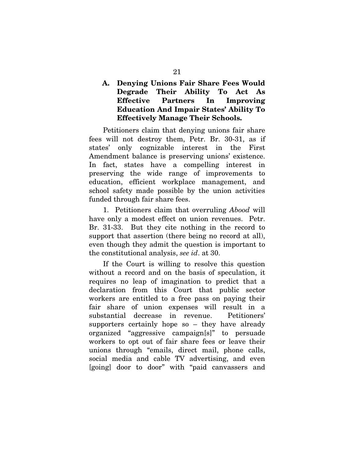**A. Denying Unions Fair Share Fees Would Degrade Their Ability To Act As Effective Partners In Improving Education And Impair States' Ability To Effectively Manage Their Schools.** 

Petitioners claim that denying unions fair share fees will not destroy them, Petr. Br. 30-31, as if states' only cognizable interest in the First Amendment balance is preserving unions' existence. In fact, states have a compelling interest in preserving the wide range of improvements to education, efficient workplace management, and school safety made possible by the union activities funded through fair share fees.

1. Petitioners claim that overruling Abood will have only a modest effect on union revenues. Petr. Br. 31-33. But they cite nothing in the record to support that assertion (there being no record at all), even though they admit the question is important to the constitutional analysis, see id. at 30.

If the Court is willing to resolve this question without a record and on the basis of speculation, it requires no leap of imagination to predict that a declaration from this Court that public sector workers are entitled to a free pass on paying their fair share of union expenses will result in a substantial decrease in revenue. Petitioners' supporters certainly hope so – they have already organized "aggressive campaign[s]" to persuade workers to opt out of fair share fees or leave their unions through "emails, direct mail, phone calls, social media and cable TV advertising, and even [going] door to door" with "paid canvassers and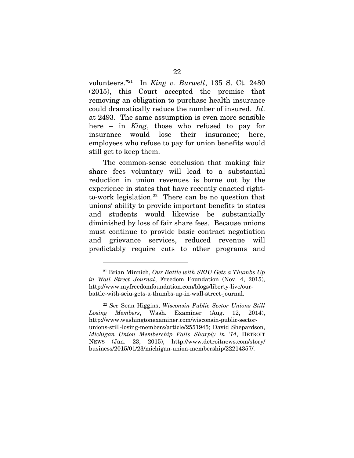volunteers."<sup>21</sup> In King v. Burwell, 135 S. Ct. 2480 (2015), this Court accepted the premise that removing an obligation to purchase health insurance could dramatically reduce the number of insured. Id. at 2493. The same assumption is even more sensible here – in King, those who refused to pay for insurance would lose their insurance; here, employees who refuse to pay for union benefits would still get to keep them.

The common-sense conclusion that making fair share fees voluntary will lead to a substantial reduction in union revenues is borne out by the experience in states that have recently enacted rightto-work legislation.<sup>22</sup> There can be no question that unions' ability to provide important benefits to states and students would likewise be substantially diminished by loss of fair share fees. Because unions must continue to provide basic contract negotiation and grievance services, reduced revenue will predictably require cuts to other programs and

 $^{21}$  Brian Minnich, Our Battle with SEIU Gets a Thumbs Up in Wall Street Journal, Freedom Foundation (Nov. 4, 2015), http://www.myfreedomfoundation.com/blogs/liberty-live/ourbattle-with-seiu-gets-a-thumbs-up-in-wall-street-journal.

 $22$  See Sean Higgins, Wisconsin Public Sector Unions Still Losing Members, Wash. Examiner (Aug. 12, 2014), http://www.washingtonexaminer.com/wisconsin-public-sectorunions-still-losing-members/article/2551945; David Shepardson, Michigan Union Membership Falls Sharply in '14, DETROIT NEWS (Jan. 23, 2015), http://www.detroitnews.com/story/ business/2015/01/23/michigan-union-membership/22214357/.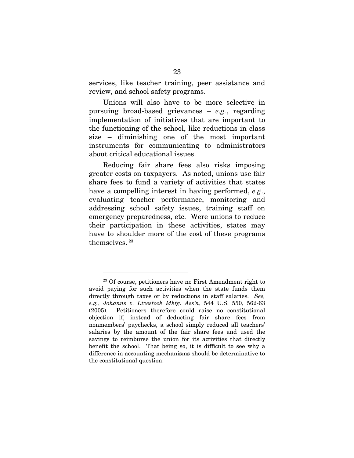services, like teacher training, peer assistance and review, and school safety programs.

Unions will also have to be more selective in pursuing broad-based grievances  $-e.g.,$  regarding implementation of initiatives that are important to the functioning of the school, like reductions in class size – diminishing one of the most important instruments for communicating to administrators about critical educational issues.

Reducing fair share fees also risks imposing greater costs on taxpayers. As noted, unions use fair share fees to fund a variety of activities that states have a compelling interest in having performed, e.g., evaluating teacher performance, monitoring and addressing school safety issues, training staff on emergency preparedness, etc. Were unions to reduce their participation in these activities, states may have to shoulder more of the cost of these programs themselves. 23

<sup>23</sup> Of course, petitioners have no First Amendment right to avoid paying for such activities when the state funds them directly through taxes or by reductions in staff salaries. See, e.g., Johanns v. Livestock Mktg. Ass'n, 544 U.S. 550, 562-63 (2005). Petitioners therefore could raise no constitutional objection if, instead of deducting fair share fees from nonmembers' paychecks, a school simply reduced all teachers' salaries by the amount of the fair share fees and used the savings to reimburse the union for its activities that directly benefit the school. That being so, it is difficult to see why a difference in accounting mechanisms should be determinative to the constitutional question.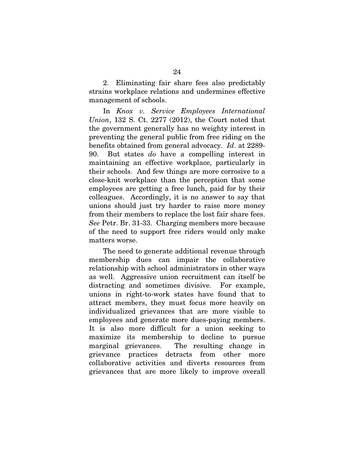2. Eliminating fair share fees also predictably strains workplace relations and undermines effective management of schools.

In Knox v. Service Employees International Union, 132 S. Ct. 2277 (2012), the Court noted that the government generally has no weighty interest in preventing the general public from free riding on the benefits obtained from general advocacy. Id. at 2289- 90. But states do have a compelling interest in maintaining an effective workplace, particularly in their schools. And few things are more corrosive to a close-knit workplace than the perception that some employees are getting a free lunch, paid for by their colleagues. Accordingly, it is no answer to say that unions should just try harder to raise more money from their members to replace the lost fair share fees. See Petr. Br. 31-33. Charging members more because of the need to support free riders would only make matters worse.

The need to generate additional revenue through membership dues can impair the collaborative relationship with school administrators in other ways as well. Aggressive union recruitment can itself be distracting and sometimes divisive. For example, unions in right-to-work states have found that to attract members, they must focus more heavily on individualized grievances that are more visible to employees and generate more dues-paying members. It is also more difficult for a union seeking to maximize its membership to decline to pursue marginal grievances. The resulting change in grievance practices detracts from other more collaborative activities and diverts resources from grievances that are more likely to improve overall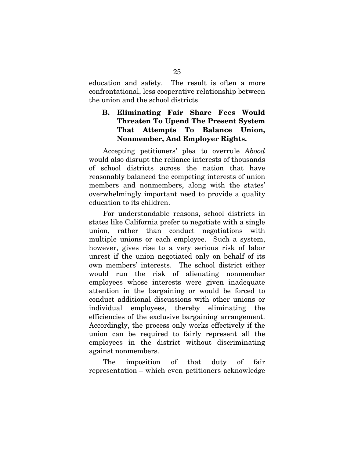education and safety. The result is often a more confrontational, less cooperative relationship between the union and the school districts.

**B. Eliminating Fair Share Fees Would Threaten To Upend The Present System That Attempts To Balance Union, Nonmember, And Employer Rights.** 

Accepting petitioners' plea to overrule Abood would also disrupt the reliance interests of thousands of school districts across the nation that have reasonably balanced the competing interests of union members and nonmembers, along with the states' overwhelmingly important need to provide a quality education to its children.

For understandable reasons, school districts in states like California prefer to negotiate with a single union, rather than conduct negotiations with multiple unions or each employee. Such a system, however, gives rise to a very serious risk of labor unrest if the union negotiated only on behalf of its own members' interests. The school district either would run the risk of alienating nonmember employees whose interests were given inadequate attention in the bargaining or would be forced to conduct additional discussions with other unions or individual employees, thereby eliminating the efficiencies of the exclusive bargaining arrangement. Accordingly, the process only works effectively if the union can be required to fairly represent all the employees in the district without discriminating against nonmembers.

The imposition of that duty of fair representation – which even petitioners acknowledge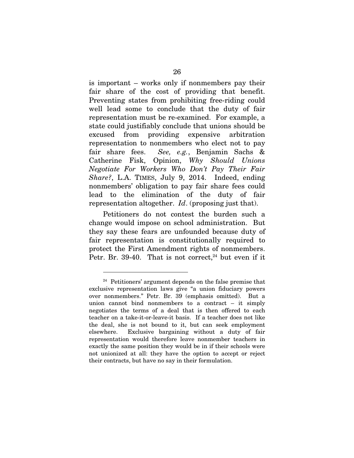is important – works only if nonmembers pay their fair share of the cost of providing that benefit. Preventing states from prohibiting free-riding could well lead some to conclude that the duty of fair representation must be re-examined. For example, a state could justifiably conclude that unions should be excused from providing expensive arbitration representation to nonmembers who elect not to pay fair share fees. See, e.g., Benjamin Sachs & Catherine Fisk, Opinion, Why Should Unions Negotiate For Workers Who Don't Pay Their Fair Share?, L.A. TIMES, July 9, 2014. Indeed, ending nonmembers' obligation to pay fair share fees could lead to the elimination of the duty of fair representation altogether. Id. (proposing just that).

Petitioners do not contest the burden such a change would impose on school administration. But they say these fears are unfounded because duty of fair representation is constitutionally required to protect the First Amendment rights of nonmembers. Petr. Br. 39-40. That is not correct, $24$  but even if it

<sup>24</sup> Petitioners' argument depends on the false premise that exclusive representation laws give "a union fiduciary powers over nonmembers." Petr. Br. 39 (emphasis omitted). But a union cannot bind nonmembers to a contract – it simply negotiates the terms of a deal that is then offered to each teacher on a take-it-or-leave-it basis. If a teacher does not like the deal, she is not bound to it, but can seek employment elsewhere. Exclusive bargaining without a duty of fair representation would therefore leave nonmember teachers in exactly the same position they would be in if their schools were not unionized at all: they have the option to accept or reject their contracts, but have no say in their formulation.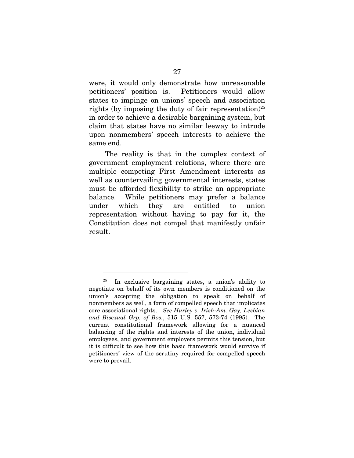were, it would only demonstrate how unreasonable petitioners' position is. Petitioners would allow states to impinge on unions' speech and association rights (by imposing the duty of fair representation)<sup>25</sup> in order to achieve a desirable bargaining system, but claim that states have no similar leeway to intrude upon nonmembers' speech interests to achieve the same end.

 The reality is that in the complex context of government employment relations, where there are multiple competing First Amendment interests as well as countervailing governmental interests, states must be afforded flexibility to strike an appropriate balance. While petitioners may prefer a balance under which they are entitled to union representation without having to pay for it, the Constitution does not compel that manifestly unfair result.

In exclusive bargaining states, a union's ability to negotiate on behalf of its own members is conditioned on the union's accepting the obligation to speak on behalf of nonmembers as well, a form of compelled speech that implicates core associational rights. See Hurley v. Irish-Am. Gay, Lesbian and Bisexual Grp. of Bos., 515 U.S. 557, 573-74 (1995). The current constitutional framework allowing for a nuanced balancing of the rights and interests of the union, individual employees, and government employers permits this tension, but it is difficult to see how this basic framework would survive if petitioners' view of the scrutiny required for compelled speech were to prevail.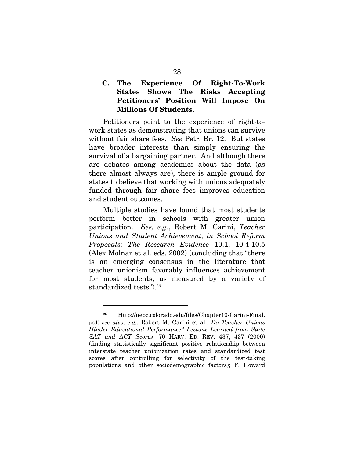**C. The Experience Of Right-To-Work States Shows The Risks Accepting Petitioners' Position Will Impose On Millions Of Students.** 

Petitioners point to the experience of right-towork states as demonstrating that unions can survive without fair share fees. See Petr. Br. 12. But states have broader interests than simply ensuring the survival of a bargaining partner. And although there are debates among academics about the data (as there almost always are), there is ample ground for states to believe that working with unions adequately funded through fair share fees improves education and student outcomes.

Multiple studies have found that most students perform better in schools with greater union participation. See, e.g., Robert M. Carini, Teacher Unions and Student Achievement, in School Reform Proposals: The Research Evidence 10.1, 10.4-10.5 (Alex Molnar et al. eds. 2002) (concluding that "there is an emerging consensus in the literature that teacher unionism favorably influences achievement for most students, as measured by a variety of standardized tests").26

<sup>26</sup> Http://nepc.colorado.edu/files/Chapter10-Carini-Final. pdf; see also, e.g., Robert M. Carini et al., Do Teacher Unions Hinder Educational Performance? Lessons Learned from State SAT and ACT Scores, 70 HARV. ED. REV. 437, 437 (2000) (finding statistically significant positive relationship between interstate teacher unionization rates and standardized test scores after controlling for selectivity of the test-taking populations and other sociodemographic factors); F. Howard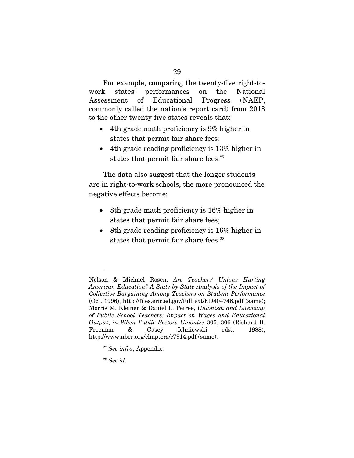For example, comparing the twenty-five right-towork states' performances on the National Assessment of Educational Progress (NAEP, commonly called the nation's report card) from 2013 to the other twenty-five states reveals that:

- $\bullet$  4th grade math proficiency is 9% higher in states that permit fair share fees;
- $\bullet$  4th grade reading proficiency is 13% higher in states that permit fair share fees.<sup>27</sup>

The data also suggest that the longer students are in right-to-work schools, the more pronounced the negative effects become:

- $\bullet$  8th grade math proficiency is 16% higher in states that permit fair share fees;
- $\bullet$  8th grade reading proficiency is 16% higher in states that permit fair share fees.<sup>28</sup>

<sup>28</sup> See id.

Nelson & Michael Rosen, Are Teachers' Unions Hurting American Education? A State-by-State Analysis of the Impact of Collective Bargaining Among Teachers on Student Performance (Oct. 1996), http://files.eric.ed.gov/fulltext/ED404746.pdf (same); Morris M. Kleiner & Daniel L. Petree, Unionism and Licensing of Public School Teachers: Impact on Wages and Educational Output, in When Public Sectors Unionize 305, 306 (Richard B. Freeman & Casey Ichniowski eds., 1988), http://www.nber.org/chapters/c7914.pdf (same).

 $27$  See infra, Appendix.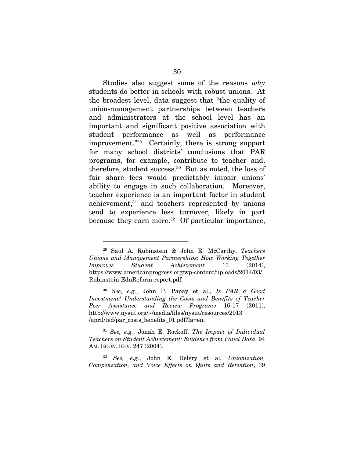Studies also suggest some of the reasons  $whv$ students do better in schools with robust unions. At the broadest level, data suggest that "the quality of union-management partnerships between teachers and administrators at the school level has an important and significant positive association with student performance as well as performance improvement."29 Certainly, there is strong support for many school districts' conclusions that PAR programs, for example, contribute to teacher and, therefore, student success.30 But as noted, the loss of fair share fees would predictably impair unions' ability to engage in such collaboration. Moreover, teacher experience is an important factor in student achievement,31 and teachers represented by unions tend to experience less turnover, likely in part because they earn more. $32$  Of particular importance,

 $\overline{a}$ 

 $31$  See, e.g., Jonah E. Rockoff, The Impact of Individual Teachers on Student Achievement: Evidence from Panel Data, 94 AM. ECON. REV. 247 (2004).

<sup>29</sup> Saul A. Rubinstein & John E. McCarthy, Teachers Unions and Management Partnerships: How Working Together Improves Student Achievement 13 (2014), https://www.americanprogress.org/wp-content/uploads/2014/03/ Rubinstein-EduReform-report.pdf.

<sup>30</sup> See, e.g., John P. Papay et al., Is PAR a Good Investment? Understanding the Costs and Benefits of Teacher Peer Assistance and Review Programs 16-17 (2011), http://www.nysut.org/~/media/files/nysut/resources/2013 /april/ted/par\_costs\_benefits\_01.pdf?la=en.

 $32$  See, e.g., John E. Delery et al, Unionization, Compensation, and Voice Effects on Quits and Retention, 39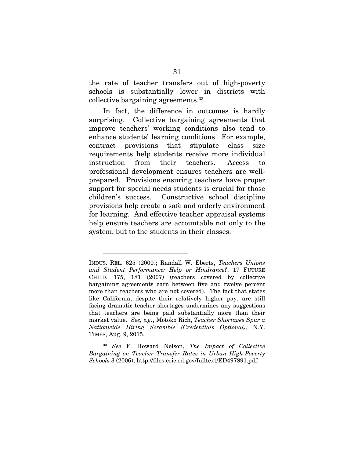the rate of teacher transfers out of high-poverty schools is substantially lower in districts with collective bargaining agreements.33

In fact, the difference in outcomes is hardly surprising. Collective bargaining agreements that improve teachers' working conditions also tend to enhance students' learning conditions. For example, contract provisions that stipulate class size requirements help students receive more individual instruction from their teachers. Access to professional development ensures teachers are wellprepared. Provisions ensuring teachers have proper support for special needs students is crucial for those children's success. Constructive school discipline provisions help create a safe and orderly environment for learning. And effective teacher appraisal systems help ensure teachers are accountable not only to the system, but to the students in their classes.

 $\overline{a}$ 

See F. Howard Nelson, The Impact of Collective Bargaining on Teacher Transfer Rates in Urban High-Poverty Schools 3 (2006), http://files.eric.ed.gov/fulltext/ED497891.pdf.

INDUS. REL. 625 (2000); Randall W. Eberts, Teachers Unions and Student Performance: Help or Hindrance?, 17 FUTURE CHILD. 175, 181 (2007) (teachers covered by collective bargaining agreements earn between five and twelve percent more than teachers who are not covered). The fact that states like California, despite their relatively higher pay, are still facing dramatic teacher shortages undermines any suggestions that teachers are being paid substantially more than their market value. See, e.g., Motoko Rich, Teacher Shortages Spur a Nationwide Hiring Scramble (Credentials Optional), N.Y. TIMES, Aug. 9, 2015.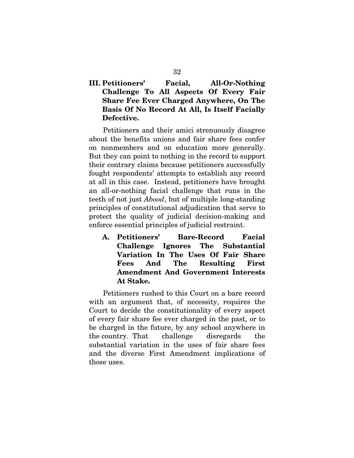## **III. Petitioners' Facial, All-Or-Nothing Challenge To All Aspects Of Every Fair Share Fee Ever Charged Anywhere, On The Basis Of No Record At All, Is Itself Facially Defective.**

Petitioners and their amici strenuously disagree about the benefits unions and fair share fees confer on nonmembers and on education more generally. But they can point to nothing in the record to support their contrary claims because petitioners successfully fought respondents' attempts to establish any record at all in this case. Instead, petitioners have brought an all-or-nothing facial challenge that runs in the teeth of not just Abood, but of multiple long-standing principles of constitutional adjudication that serve to protect the quality of judicial decision-making and enforce essential principles of judicial restraint.

**A. Petitioners' Bare-Record Facial Challenge Ignores The Substantial Variation In The Uses Of Fair Share Fees And The Resulting First Amendment And Government Interests At Stake.** 

Petitioners rushed to this Court on a bare record with an argument that, of necessity, requires the Court to decide the constitutionality of every aspect of every fair share fee ever charged in the past, or to be charged in the future, by any school anywhere in the country. That challenge disregards the substantial variation in the uses of fair share fees and the diverse First Amendment implications of those uses.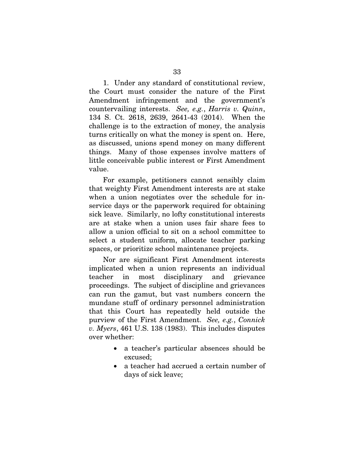1. Under any standard of constitutional review, the Court must consider the nature of the First Amendment infringement and the government's countervailing interests. See, e.g., Harris v. Quinn, 134 S. Ct. 2618, 2639, 2641-43 (2014). When the challenge is to the extraction of money, the analysis turns critically on what the money is spent on. Here, as discussed, unions spend money on many different things. Many of those expenses involve matters of little conceivable public interest or First Amendment value.

For example, petitioners cannot sensibly claim that weighty First Amendment interests are at stake when a union negotiates over the schedule for inservice days or the paperwork required for obtaining sick leave. Similarly, no lofty constitutional interests are at stake when a union uses fair share fees to allow a union official to sit on a school committee to select a student uniform, allocate teacher parking spaces, or prioritize school maintenance projects.

Nor are significant First Amendment interests implicated when a union represents an individual teacher in most disciplinary and grievance proceedings. The subject of discipline and grievances can run the gamut, but vast numbers concern the mundane stuff of ordinary personnel administration that this Court has repeatedly held outside the purview of the First Amendment. See, e.g., Connick  $v.$  Myers, 461 U.S. 138 (1983). This includes disputes over whether:

- $\bullet$  a teacher's particular absences should be excused;
- $\bullet$  a teacher had accrued a certain number of days of sick leave;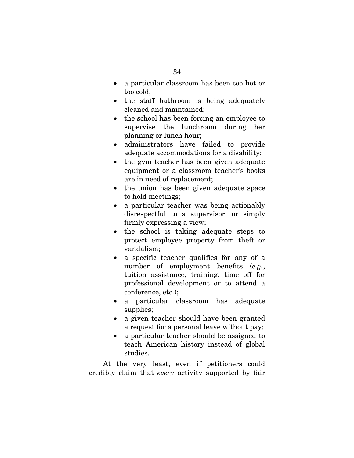- $\bullet$  a particular classroom has been too hot or too cold;
- $\bullet$  the staff bathroom is being adequately cleaned and maintained;
- $\bullet$  the school has been forcing an employee to supervise the lunchroom during her planning or lunch hour;
- $\bullet$  administrators have failed to provide adequate accommodations for a disability;
- $\bullet$  the gym teacher has been given adequate equipment or a classroom teacher's books are in need of replacement;
- $\bullet$  the union has been given adequate space to hold meetings;
- $\bullet$  a particular teacher was being actionably disrespectful to a supervisor, or simply firmly expressing a view;
- the school is taking adequate steps to protect employee property from theft or vandalism;
- a specific teacher qualifies for any of a number of employment benefits (e.g., tuition assistance, training, time off for professional development or to attend a conference, etc.);
- $\bullet$  a particular classroom has adequate supplies;
- $\bullet$  a given teacher should have been granted a request for a personal leave without pay;
- $\bullet$  a particular teacher should be assigned to teach American history instead of global studies.

At the very least, even if petitioners could credibly claim that every activity supported by fair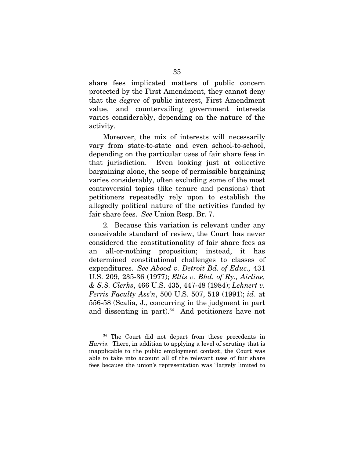share fees implicated matters of public concern protected by the First Amendment, they cannot deny that the degree of public interest, First Amendment value, and countervailing government interests varies considerably, depending on the nature of the activity.

Moreover, the mix of interests will necessarily vary from state-to-state and even school-to-school, depending on the particular uses of fair share fees in that jurisdiction. Even looking just at collective bargaining alone, the scope of permissible bargaining varies considerably, often excluding some of the most controversial topics (like tenure and pensions) that petitioners repeatedly rely upon to establish the allegedly political nature of the activities funded by fair share fees. See Union Resp. Br. 7.

2. Because this variation is relevant under any conceivable standard of review, the Court has never considered the constitutionality of fair share fees as an all-or-nothing proposition; instead, it has determined constitutional challenges to classes of expenditures. See Abood v. Detroit Bd. of Educ., 431 U.S. 209, 235-36 (1977); Ellis v. Bhd. of Ry., Airline, & S.S. Clerks, 466 U.S. 435, 447-48 (1984); Lehnert v. Ferris Faculty Ass'n, 500 U.S. 507, 519 (1991); id. at 556-58 (Scalia, J., concurring in the judgment in part and dissenting in part). $34$  And petitioners have not

<sup>&</sup>lt;sup>34</sup> The Court did not depart from these precedents in Harris. There, in addition to applying a level of scrutiny that is inapplicable to the public employment context, the Court was able to take into account all of the relevant uses of fair share fees because the union's representation was "largely limited to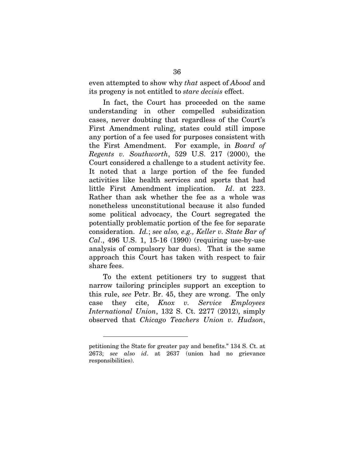even attempted to show why that aspect of Abood and its progeny is not entitled to stare decisis effect.

In fact, the Court has proceeded on the same understanding in other compelled subsidization cases, never doubting that regardless of the Court's First Amendment ruling, states could still impose any portion of a fee used for purposes consistent with the First Amendment. For example, in Board of Regents v. Southworth, 529 U.S. 217  $(2000)$ , the Court considered a challenge to a student activity fee. It noted that a large portion of the fee funded activities like health services and sports that had little First Amendment implication. Id. at 223. Rather than ask whether the fee as a whole was nonetheless unconstitutional because it also funded some political advocacy, the Court segregated the potentially problematic portion of the fee for separate consideration. Id.; see also, e.g., Keller v. State Bar of Cal., 496 U.S. 1, 15-16 (1990) (requiring use-by-use analysis of compulsory bar dues). That is the same approach this Court has taken with respect to fair share fees.

To the extent petitioners try to suggest that narrow tailoring principles support an exception to this rule, see Petr. Br. 45, they are wrong. The only case they cite, Knox v. Service Employees International Union, 132 S. Ct. 2277 (2012), simply observed that Chicago Teachers Union v. Hudson,

petitioning the State for greater pay and benefits." 134 S. Ct. at 2673; see also id. at 2637 (union had no grievance responsibilities).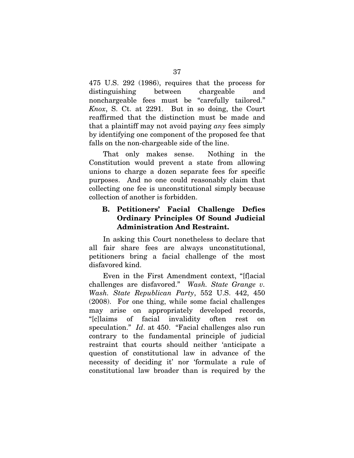475 U.S. 292 (1986), requires that the process for distinguishing between chargeable and nonchargeable fees must be "carefully tailored." Knox, S. Ct. at 2291. But in so doing, the Court reaffirmed that the distinction must be made and that a plaintiff may not avoid paying any fees simply by identifying one component of the proposed fee that falls on the non-chargeable side of the line.

That only makes sense. Nothing in the Constitution would prevent a state from allowing unions to charge a dozen separate fees for specific purposes. And no one could reasonably claim that collecting one fee is unconstitutional simply because collection of another is forbidden.

# **B. Petitioners' Facial Challenge Defies Ordinary Principles Of Sound Judicial Administration And Restraint.**

In asking this Court nonetheless to declare that all fair share fees are always unconstitutional, petitioners bring a facial challenge of the most disfavored kind.

Even in the First Amendment context, "[f]acial challenges are disfavored." Wash. State Grange v. Wash. State Republican Party, 552 U.S. 442, 450 (2008). For one thing, while some facial challenges may arise on appropriately developed records, "[c]laims of facial invalidity often rest on speculation." *Id.* at 450. "Facial challenges also run contrary to the fundamental principle of judicial restraint that courts should neither 'anticipate a question of constitutional law in advance of the necessity of deciding it' nor 'formulate a rule of constitutional law broader than is required by the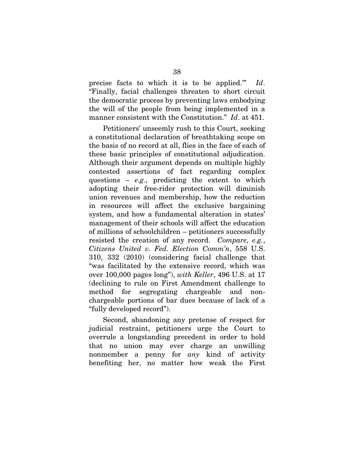precise facts to which it is to be applied.'" Id. "Finally, facial challenges threaten to short circuit the democratic process by preventing laws embodying the will of the people from being implemented in a manner consistent with the Constitution." Id. at 451.

Petitioners' unseemly rush to this Court, seeking a constitutional declaration of breathtaking scope on the basis of no record at all, flies in the face of each of these basic principles of constitutional adjudication. Although their argument depends on multiple highly contested assertions of fact regarding complex questions –  $e.g.,$  predicting the extent to which adopting their free-rider protection will diminish union revenues and membership, how the reduction in resources will affect the exclusive bargaining system, and how a fundamental alteration in states' management of their schools will affect the education of millions of schoolchildren – petitioners successfully resisted the creation of any record. Compare, e.g., Citizens United v. Fed. Election Comm'n, 558 U.S. 310, 332 (2010) (considering facial challenge that "was facilitated by the extensive record, which was over 100,000 pages long"), with Keller, 496 U.S. at 17 (declining to rule on First Amendment challenge to method for segregating chargeable and nonchargeable portions of bar dues because of lack of a "fully developed record").

Second, abandoning any pretense of respect for judicial restraint, petitioners urge the Court to overrule a longstanding precedent in order to hold that no union may ever charge an unwilling nonmember a penny for any kind of activity benefiting her, no matter how weak the First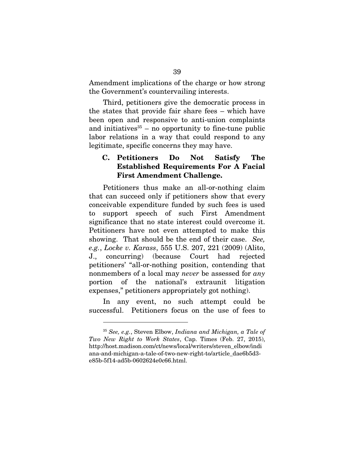Amendment implications of the charge or how strong the Government's countervailing interests.

Third, petitioners give the democratic process in the states that provide fair share fees – which have been open and responsive to anti-union complaints and initiatives $35 - no$  opportunity to fine-tune public labor relations in a way that could respond to any legitimate, specific concerns they may have.

# **C. Petitioners Do Not Satisfy The Established Requirements For A Facial First Amendment Challenge.**

Petitioners thus make an all-or-nothing claim that can succeed only if petitioners show that every conceivable expenditure funded by such fees is used to support speech of such First Amendment significance that no state interest could overcome it. Petitioners have not even attempted to make this showing. That should be the end of their case. See, e.g., Locke v. Karass, 555 U.S. 207, 221 (2009) (Alito, J., concurring) (because Court had rejected petitioners' "all-or-nothing position, contending that nonmembers of a local may never be assessed for any portion of the national's extraunit litigation expenses," petitioners appropriately got nothing).

In any event, no such attempt could be successful. Petitioners focus on the use of fees to

<sup>35</sup> See, e.g., Steven Elbow, Indiana and Michigan, a Tale of Two New Right to Work States, Cap. Times (Feb. 27, 2015), http://host.madison.com/ct/news/local/writers/steven\_elbow/indi ana-and-michigan-a-tale-of-two-new-right-to/article\_dae6b5d3 e85b-5f14-ad5b-0602624e0c66.html.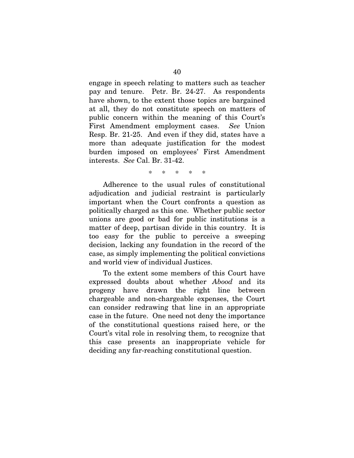engage in speech relating to matters such as teacher pay and tenure. Petr. Br. 24-27. As respondents have shown, to the extent those topics are bargained at all, they do not constitute speech on matters of public concern within the meaning of this Court's First Amendment employment cases. See Union Resp. Br. 21-25. And even if they did, states have a more than adequate justification for the modest burden imposed on employees' First Amendment interests. See Cal. Br. 31-42.

\* \* \* \* \*

Adherence to the usual rules of constitutional adjudication and judicial restraint is particularly important when the Court confronts a question as politically charged as this one. Whether public sector unions are good or bad for public institutions is a matter of deep, partisan divide in this country. It is too easy for the public to perceive a sweeping decision, lacking any foundation in the record of the case, as simply implementing the political convictions and world view of individual Justices.

To the extent some members of this Court have expressed doubts about whether Abood and its progeny have drawn the right line between chargeable and non-chargeable expenses, the Court can consider redrawing that line in an appropriate case in the future. One need not deny the importance of the constitutional questions raised here, or the Court's vital role in resolving them, to recognize that this case presents an inappropriate vehicle for deciding any far-reaching constitutional question.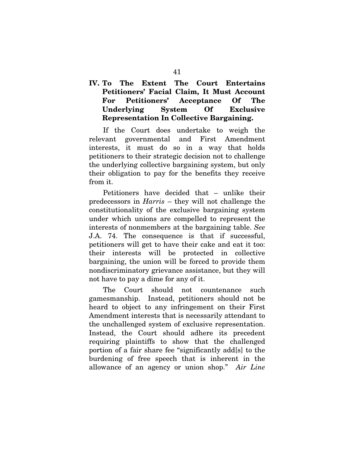**IV. To The Extent The Court Entertains Petitioners' Facial Claim, It Must Account For Petitioners' Acceptance Of The Underlying System Of Exclusive Representation In Collective Bargaining.** 

If the Court does undertake to weigh the relevant governmental and First Amendment interests, it must do so in a way that holds petitioners to their strategic decision not to challenge the underlying collective bargaining system, but only their obligation to pay for the benefits they receive from it.

Petitioners have decided that – unlike their predecessors in Harris – they will not challenge the constitutionality of the exclusive bargaining system under which unions are compelled to represent the interests of nonmembers at the bargaining table. See J.A. 74. The consequence is that if successful, petitioners will get to have their cake and eat it too: their interests will be protected in collective bargaining, the union will be forced to provide them nondiscriminatory grievance assistance, but they will not have to pay a dime for any of it.

The Court should not countenance such gamesmanship. Instead, petitioners should not be heard to object to any infringement on their First Amendment interests that is necessarily attendant to the unchallenged system of exclusive representation. Instead, the Court should adhere its precedent requiring plaintiffs to show that the challenged portion of a fair share fee "significantly add[s] to the burdening of free speech that is inherent in the allowance of an agency or union shop." Air Line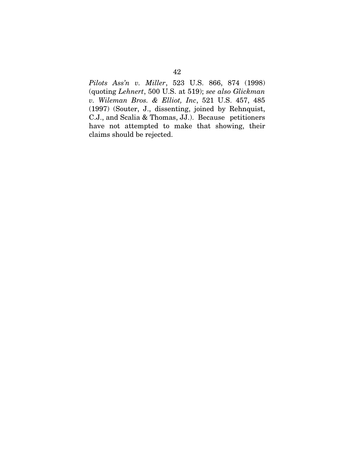Pilots Ass'n v. Miller, 523 U.S. 866, 874 (1998) (quoting Lehnert, 500 U.S. at 519); see also Glickman v. Wileman Bros. & Elliot, Inc, 521 U.S. 457, 485 (1997) (Souter, J., dissenting, joined by Rehnquist, C.J., and Scalia & Thomas, JJ.). Because petitioners have not attempted to make that showing, their claims should be rejected.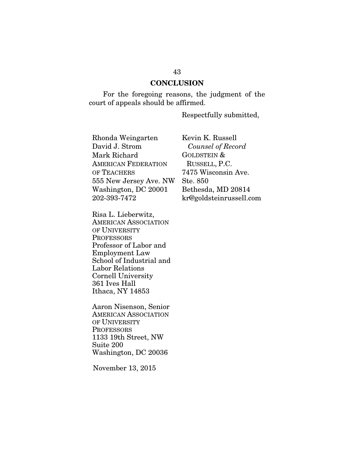#### **CONCLUSION**

For the foregoing reasons, the judgment of the court of appeals should be affirmed.

Respectfully submitted,

Rhonda Weingarten David J. Strom Mark Richard AMERICAN FEDERATION OF TEACHERS 555 New Jersey Ave. NW Washington, DC 20001 202-393-7472

Risa L. Lieberwitz, AMERICAN ASSOCIATION OF UNIVERSITY **PROFESSORS** Professor of Labor and Employment Law School of Industrial and Labor Relations Cornell University 361 Ives Hall Ithaca, NY 14853

Aaron Nisenson, Senior AMERICAN ASSOCIATION OF UNIVERSITY **PROFESSORS** 1133 19th Street, NW Suite 200 Washington, DC 20036

November 13, 2015

Kevin K. Russell Counsel of Record GOLDSTEIN & RUSSELL, P.C. 7475 Wisconsin Ave. Ste. 850 Bethesda, MD 20814 kr@goldsteinrussell.com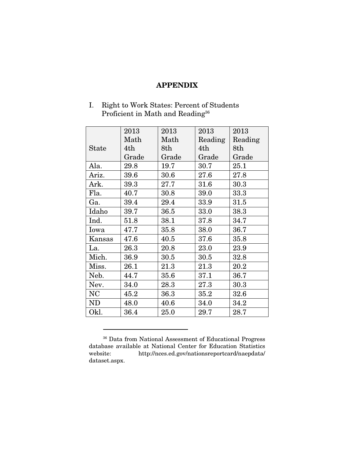#### **APPENDIX**

I. Right to Work States: Percent of Students Proficient in Math and Reading<sup>36</sup>

|           | 2013  | 2013  | 2013     | 2013     |
|-----------|-------|-------|----------|----------|
|           | Math  | Math  | Reading  | Reading  |
| State     | 4th   | 8th   | 4th      | 8th      |
|           | Grade | Grade | Grade    | Grade    |
| Ala.      | 29.8  | 19.7  | 30.7     | $25.1\,$ |
| Ariz.     | 39.6  | 30.6  | 27.6     | 27.8     |
| Ark.      | 39.3  | 27.7  | $31.6\,$ | 30.3     |
| Fla.      | 40.7  | 30.8  | 39.0     | $33.3\,$ |
| Ga.       | 39.4  | 29.4  | 33.9     | 31.5     |
| Idaho     | 39.7  | 36.5  | 33.0     | 38.3     |
| Ind.      | 51.8  | 38.1  | 37.8     | 34.7     |
| Iowa      | 47.7  | 35.8  | 38.0     | 36.7     |
| Kansas    | 47.6  | 40.5  | 37.6     | 35.8     |
| La.       | 26.3  | 20.8  | 23.0     | 23.9     |
| Mich.     | 36.9  | 30.5  | 30.5     | 32.8     |
| Miss.     | 26.1  | 21.3  | 21.3     | 20.2     |
| Neb.      | 44.7  | 35.6  | 37.1     | 36.7     |
| Nev.      | 34.0  | 28.3  | 27.3     | 30.3     |
| <b>NC</b> | 45.2  | 36.3  | 35.2     | 32.6     |
| <b>ND</b> | 48.0  | 40.6  | 34.0     | 34.2     |
| Okl.      | 36.4  | 25.0  | 29.7     | 28.7     |

<sup>36</sup> Data from National Assessment of Educational Progress database available at National Center for Education Statistics website: http://nces.ed.gov/nationsreportcard/naepdata/ dataset.aspx.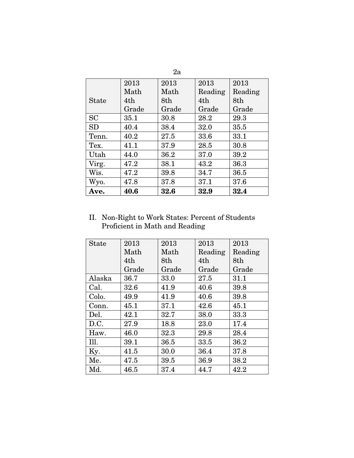|              |       | 2a    |         |         |
|--------------|-------|-------|---------|---------|
|              | 2013  | 2013  | 2013    | 2013    |
|              | Math  | Math  | Reading | Reading |
| <b>State</b> | 4th   | 8th   | 4th     | 8th     |
|              | Grade | Grade | Grade   | Grade   |
| SC           | 35.1  | 30.8  | 28.2    | 29.3    |
| SD           | 40.4  | 38.4  | 32.0    | 35.5    |
| Tenn.        | 40.2  | 27.5  | 33.6    | 33.1    |
| Tex.         | 41.1  | 37.9  | 28.5    | 30.8    |
| Utah         | 44.0  | 36.2  | 37.0    | 39.2    |
| Virg.        | 47.2  | 38.1  | 43.2    | 36.3    |
| Wis.         | 47.2  | 39.8  | 34.7    | 36.5    |
| Wyo.         | 47.8  | 37.8  | 37.1    | 37.6    |
| Ave.         | 40.6  | 32.6  | 32.9    | 32.4    |

II. Non-Right to Work States: Percent of Students Proficient in Math and Reading

| <b>State</b> | 2013  | 2013  | 2013    | 2013    |
|--------------|-------|-------|---------|---------|
|              | Math  | Math  | Reading | Reading |
|              | 4th   | 8th   | 4th     | 8th     |
|              | Grade | Grade | Grade   | Grade   |
| Alaska       | 36.7  | 33.0  | 27.5    | 31.1    |
| Cal.         | 32.6  | 41.9  | 40.6    | 39.8    |
| Colo.        | 49.9  | 41.9  | 40.6    | 39.8    |
| Conn.        | 45.1  | 37.1  | 42.6    | 45.1    |
| Del.         | 42.1  | 32.7  | 38.0    | 33.3    |
| D.C.         | 27.9  | 18.8  | 23.0    | 17.4    |
| Haw.         | 46.0  | 32.3  | 29.8    | 28.4    |
| Ill.         | 39.1  | 36.5  | 33.5    | 36.2    |
| Ky.          | 41.5  | 30.0  | 36.4    | 37.8    |
| Me.          | 47.5  | 39.5  | 36.9    | 38.2    |
| Md.          | 46.5  | 37.4  | 44.7    | 42.2    |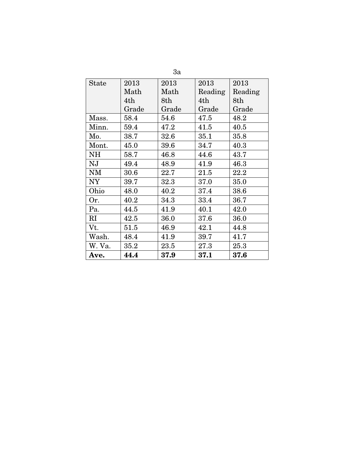|              |       | 3a    |         |         |
|--------------|-------|-------|---------|---------|
| <b>State</b> | 2013  | 2013  | 2013    | 2013    |
|              | Math  | Math  | Reading | Reading |
|              | 4th   | 8th   | 4th     | 8th     |
|              | Grade | Grade | Grade   | Grade   |
| Mass.        | 58.4  | 54.6  | 47.5    | 48.2    |
| Minn.        | 59.4  | 47.2  | 41.5    | 40.5    |
| Mo.          | 38.7  | 32.6  | 35.1    | 35.8    |
| Mont.        | 45.0  | 39.6  | 34.7    | 40.3    |
| <b>NH</b>    | 58.7  | 46.8  | 44.6    | 43.7    |
| NJ           | 49.4  | 48.9  | 41.9    | 46.3    |
| NM           | 30.6  | 22.7  | 21.5    | 22.2    |
| <b>NY</b>    | 39.7  | 32.3  | 37.0    | 35.0    |
| Ohio         | 48.0  | 40.2  | 37.4    | 38.6    |
| Or.          | 40.2  | 34.3  | 33.4    | 36.7    |
| Pa.          | 44.5  | 41.9  | 40.1    | 42.0    |
| $\rm RI$     | 42.5  | 36.0  | 37.6    | 36.0    |
| Vt.          | 51.5  | 46.9  | 42.1    | 44.8    |
| Wash.        | 48.4  | 41.9  | 39.7    | 41.7    |
| W. Va.       | 35.2  | 23.5  | 27.3    | 25.3    |
| <b>Ave.</b>  | 44.4  | 37.9  | 37.1    | 37.6    |